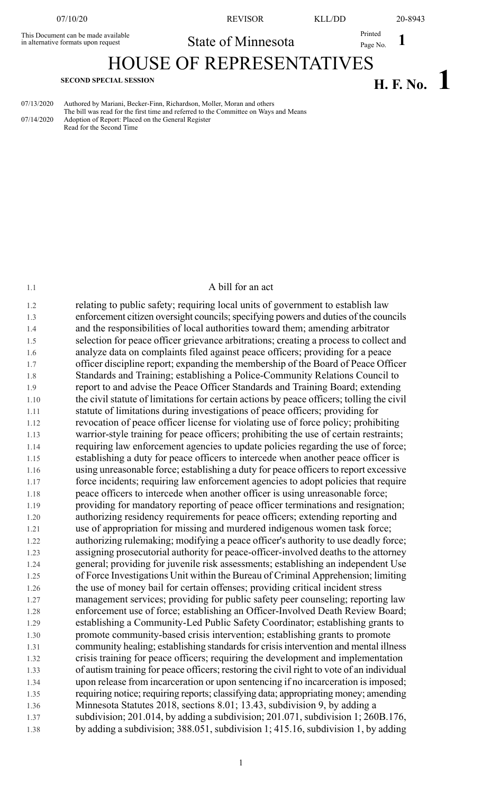This Document can be made available in alternative formats upon request

07/10/20 REVISOR KLL/DD 20-8943

**1** Printed State of Minnesota Printed Page No. 1

## HOUSE OF REPRESENTATIVES

# **H. F. No. 1 SECOND SPECIAL SESSION**

| 07/13/2020 | Authored by Mariani, Becker-Finn, Richardson, Moller, Moran and others               |
|------------|--------------------------------------------------------------------------------------|
|            | The bill was read for the first time and referred to the Committee on Ways and Means |
| 07/14/2020 | Adoption of Report: Placed on the General Register                                   |

Read for the Second Time

#### 1.1 A bill for an act

1.2 relating to public safety; requiring local units of government to establish law 1.3 enforcement citizen oversight councils; specifying powers and duties of the councils 1.4 and the responsibilities of local authorities toward them; amending arbitrator 1.5 selection for peace officer grievance arbitrations; creating a process to collect and 1.6 analyze data on complaints filed against peace officers; providing for a peace 1.7 officer discipline report; expanding the membership of the Board of Peace Officer 1.8 Standards and Training; establishing a Police-Community Relations Council to 1.9 report to and advise the Peace Officer Standards and Training Board; extending 1.10 the civil statute of limitations for certain actions by peace officers; tolling the civil 1.11 statute of limitations during investigations of peace officers; providing for 1.12 revocation of peace officer license for violating use of force policy; prohibiting 1.13 warrior-style training for peace officers; prohibiting the use of certain restraints; 1.14 requiring law enforcement agencies to update policies regarding the use of force; 1.15 establishing a duty for peace officers to intercede when another peace officer is 1.16 using unreasonable force; establishing a duty for peace officers to report excessive 1.17 force incidents; requiring law enforcement agencies to adopt policies that require 1.18 peace officers to intercede when another officer is using unreasonable force; 1.19 providing for mandatory reporting of peace officer terminations and resignation; 1.20 authorizing residency requirements for peace officers; extending reporting and 1.21 use of appropriation for missing and murdered indigenous women task force; 1.22 authorizing rulemaking; modifying a peace officer's authority to use deadly force; 1.23 assigning prosecutorial authority for peace-officer-involved deaths to the attorney 1.24 general; providing for juvenile risk assessments; establishing an independent Use 1.25 of Force Investigations Unit within the Bureau of Criminal Apprehension; limiting 1.26 the use of money bail for certain offenses; providing critical incident stress 1.27 management services; providing for public safety peer counseling; reporting law 1.28 enforcement use of force; establishing an Officer-Involved Death Review Board; 1.29 establishing a Community-Led Public Safety Coordinator; establishing grants to 1.30 promote community-based crisis intervention; establishing grants to promote 1.31 community healing; establishing standards for crisis intervention and mental illness 1.32 crisis training for peace officers; requiring the development and implementation 1.33 of autism training for peace officers; restoring the civil right to vote of an individual 1.34 upon release from incarceration or upon sentencing if no incarceration isimposed; 1.35 requiring notice; requiring reports; classifying data; appropriating money; amending 1.36 Minnesota Statutes 2018, sections 8.01; 13.43, subdivision 9, by adding a 1.37 subdivision; 201.014, by adding a subdivision; 201.071, subdivision 1; 260B.176, 1.38 by adding a subdivision; 388.051, subdivision 1; 415.16, subdivision 1, by adding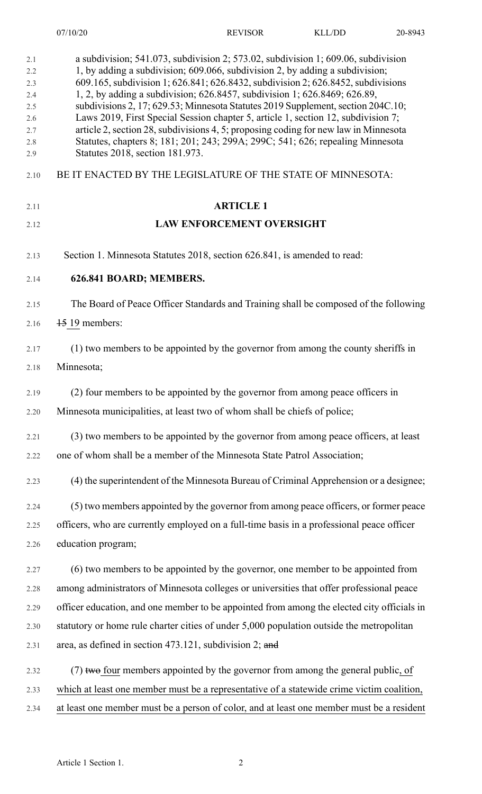| 2.1<br>2.2<br>2.3<br>2.4<br>2.5<br>2.6<br>2.7<br>2.8<br>2.9 | a subdivision; $541.073$ , subdivision 2; $573.02$ , subdivision 1; 609.06, subdivision<br>1, by adding a subdivision; 609.066, subdivision 2, by adding a subdivision;<br>609.165, subdivision 1; 626.841; 626.8432, subdivision 2; 626.8452, subdivisions<br>1, 2, by adding a subdivision; 626.8457, subdivision 1; 626.8469; 626.89,<br>subdivisions 2, 17; 629.53; Minnesota Statutes 2019 Supplement, section 204C.10;<br>Laws 2019, First Special Session chapter 5, article 1, section 12, subdivision 7;<br>article 2, section 28, subdivisions 4, 5; proposing coding for new law in Minnesota<br>Statutes, chapters 8; 181; 201; 243; 299A; 299C; 541; 626; repealing Minnesota<br>Statutes 2018, section 181.973. |
|-------------------------------------------------------------|-------------------------------------------------------------------------------------------------------------------------------------------------------------------------------------------------------------------------------------------------------------------------------------------------------------------------------------------------------------------------------------------------------------------------------------------------------------------------------------------------------------------------------------------------------------------------------------------------------------------------------------------------------------------------------------------------------------------------------|
| 2.10                                                        | BE IT ENACTED BY THE LEGISLATURE OF THE STATE OF MINNESOTA:                                                                                                                                                                                                                                                                                                                                                                                                                                                                                                                                                                                                                                                                   |
| 2.11                                                        | <b>ARTICLE 1</b>                                                                                                                                                                                                                                                                                                                                                                                                                                                                                                                                                                                                                                                                                                              |
| 2.12                                                        | <b>LAW ENFORCEMENT OVERSIGHT</b>                                                                                                                                                                                                                                                                                                                                                                                                                                                                                                                                                                                                                                                                                              |
| 2.13                                                        | Section 1. Minnesota Statutes 2018, section 626.841, is amended to read:                                                                                                                                                                                                                                                                                                                                                                                                                                                                                                                                                                                                                                                      |
| 2.14                                                        | 626.841 BOARD; MEMBERS.                                                                                                                                                                                                                                                                                                                                                                                                                                                                                                                                                                                                                                                                                                       |
| 2.15                                                        | The Board of Peace Officer Standards and Training shall be composed of the following                                                                                                                                                                                                                                                                                                                                                                                                                                                                                                                                                                                                                                          |
| 2.16                                                        | 15 19 members:                                                                                                                                                                                                                                                                                                                                                                                                                                                                                                                                                                                                                                                                                                                |
| 2.17                                                        | (1) two members to be appointed by the governor from among the county sheriffs in                                                                                                                                                                                                                                                                                                                                                                                                                                                                                                                                                                                                                                             |
| 2.18                                                        | Minnesota;                                                                                                                                                                                                                                                                                                                                                                                                                                                                                                                                                                                                                                                                                                                    |
| 2.19                                                        | (2) four members to be appointed by the governor from among peace officers in                                                                                                                                                                                                                                                                                                                                                                                                                                                                                                                                                                                                                                                 |
| 2.20                                                        | Minnesota municipalities, at least two of whom shall be chiefs of police;                                                                                                                                                                                                                                                                                                                                                                                                                                                                                                                                                                                                                                                     |
| 2.21                                                        | (3) two members to be appointed by the governor from among peace officers, at least                                                                                                                                                                                                                                                                                                                                                                                                                                                                                                                                                                                                                                           |
| 2.22                                                        | one of whom shall be a member of the Minnesota State Patrol Association;                                                                                                                                                                                                                                                                                                                                                                                                                                                                                                                                                                                                                                                      |
| 2.23                                                        | (4) the superintendent of the Minnesota Bureau of Criminal Apprehension or a designee;                                                                                                                                                                                                                                                                                                                                                                                                                                                                                                                                                                                                                                        |
| 2.24                                                        | (5) two members appointed by the governor from among peace officers, or former peace                                                                                                                                                                                                                                                                                                                                                                                                                                                                                                                                                                                                                                          |
| 2.25                                                        | officers, who are currently employed on a full-time basis in a professional peace officer                                                                                                                                                                                                                                                                                                                                                                                                                                                                                                                                                                                                                                     |
| 2.26                                                        | education program;                                                                                                                                                                                                                                                                                                                                                                                                                                                                                                                                                                                                                                                                                                            |
| 2.27                                                        | (6) two members to be appointed by the governor, one member to be appointed from                                                                                                                                                                                                                                                                                                                                                                                                                                                                                                                                                                                                                                              |
| 2.28                                                        | among administrators of Minnesota colleges or universities that offer professional peace                                                                                                                                                                                                                                                                                                                                                                                                                                                                                                                                                                                                                                      |
| 2.29                                                        | officer education, and one member to be appointed from among the elected city officials in                                                                                                                                                                                                                                                                                                                                                                                                                                                                                                                                                                                                                                    |
| 2.30                                                        | statutory or home rule charter cities of under 5,000 population outside the metropolitan                                                                                                                                                                                                                                                                                                                                                                                                                                                                                                                                                                                                                                      |
| 2.31                                                        | area, as defined in section 473.121, subdivision 2; and                                                                                                                                                                                                                                                                                                                                                                                                                                                                                                                                                                                                                                                                       |
| 2.32                                                        | (7) two four members appointed by the governor from among the general public, of                                                                                                                                                                                                                                                                                                                                                                                                                                                                                                                                                                                                                                              |
| 2.33                                                        | which at least one member must be a representative of a statewide crime victim coalition,                                                                                                                                                                                                                                                                                                                                                                                                                                                                                                                                                                                                                                     |
| 2.34                                                        | at least one member must be a person of color, and at least one member must be a resident                                                                                                                                                                                                                                                                                                                                                                                                                                                                                                                                                                                                                                     |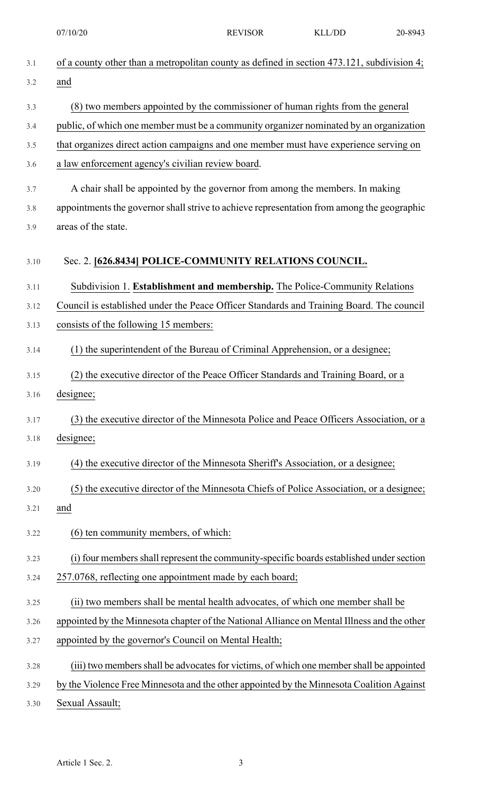| 3.1  | of a county other than a metropolitan county as defined in section 473.121, subdivision 4;  |
|------|---------------------------------------------------------------------------------------------|
| 3.2  | and                                                                                         |
| 3.3  | (8) two members appointed by the commissioner of human rights from the general              |
| 3.4  | public, of which one member must be a community organizer nominated by an organization      |
| 3.5  | that organizes direct action campaigns and one member must have experience serving on       |
| 3.6  | a law enforcement agency's civilian review board.                                           |
| 3.7  | A chair shall be appointed by the governor from among the members. In making                |
| 3.8  | appointments the governor shall strive to achieve representation from among the geographic  |
| 3.9  | areas of the state.                                                                         |
| 3.10 | Sec. 2. [626.8434] POLICE-COMMUNITY RELATIONS COUNCIL.                                      |
| 3.11 | Subdivision 1. Establishment and membership. The Police-Community Relations                 |
| 3.12 | Council is established under the Peace Officer Standards and Training Board. The council    |
| 3.13 | consists of the following 15 members:                                                       |
| 3.14 | (1) the superintendent of the Bureau of Criminal Apprehension, or a designee;               |
| 3.15 | (2) the executive director of the Peace Officer Standards and Training Board, or a          |
| 3.16 | designee;                                                                                   |
| 3.17 | (3) the executive director of the Minnesota Police and Peace Officers Association, or a     |
| 3.18 | designee;                                                                                   |
| 3.19 | (4) the executive director of the Minnesota Sheriff's Association, or a designee;           |
| 3.20 | (5) the executive director of the Minnesota Chiefs of Police Association, or a designee;    |
| 3.21 | and                                                                                         |
| 3.22 | (6) ten community members, of which:                                                        |
| 3.23 | (i) four members shall represent the community-specific boards established under section    |
| 3.24 | 257.0768, reflecting one appointment made by each board;                                    |
| 3.25 | (ii) two members shall be mental health advocates, of which one member shall be             |
| 3.26 | appointed by the Minnesota chapter of the National Alliance on Mental Illness and the other |
| 3.27 | appointed by the governor's Council on Mental Health;                                       |
| 3.28 | (iii) two members shall be advocates for victims, of which one member shall be appointed    |
| 3.29 | by the Violence Free Minnesota and the other appointed by the Minnesota Coalition Against   |
| 3.30 | Sexual Assault;                                                                             |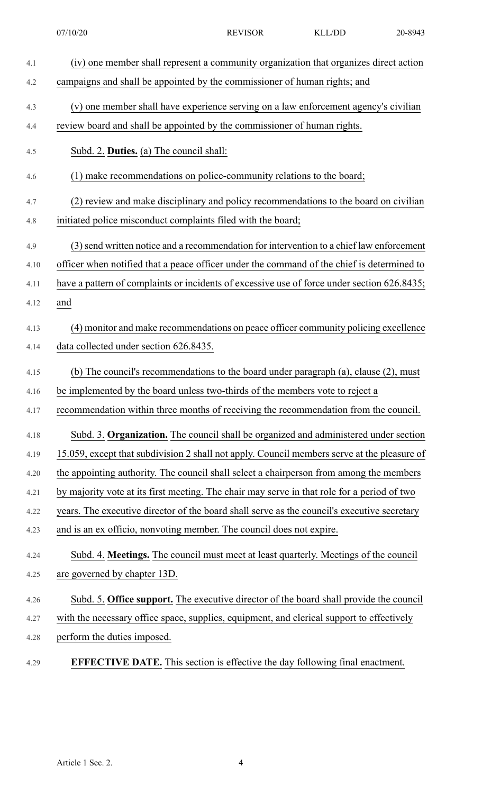| 4.1  | (iv) one member shall represent a community organization that organizes direct action       |
|------|---------------------------------------------------------------------------------------------|
| 4.2  | campaigns and shall be appointed by the commissioner of human rights; and                   |
| 4.3  | (v) one member shall have experience serving on a law enforcement agency's civilian         |
| 4.4  | review board and shall be appointed by the commissioner of human rights.                    |
| 4.5  | Subd. 2. Duties. (a) The council shall:                                                     |
| 4.6  | (1) make recommendations on police-community relations to the board;                        |
| 4.7  | (2) review and make disciplinary and policy recommendations to the board on civilian        |
| 4.8  | initiated police misconduct complaints filed with the board;                                |
| 4.9  | (3) send written notice and a recommendation for intervention to a chief law enforcement    |
| 4.10 | officer when notified that a peace officer under the command of the chief is determined to  |
| 4.11 | have a pattern of complaints or incidents of excessive use of force under section 626.8435; |
| 4.12 | and                                                                                         |
| 4.13 | (4) monitor and make recommendations on peace officer community policing excellence         |
| 4.14 | data collected under section 626.8435.                                                      |
| 4.15 | (b) The council's recommendations to the board under paragraph (a), clause (2), must        |
| 4.16 | be implemented by the board unless two-thirds of the members vote to reject a               |
| 4.17 | recommendation within three months of receiving the recommendation from the council.        |
| 4.18 | Subd. 3. Organization. The council shall be organized and administered under section        |
| 4.19 | 15.059, except that subdivision 2 shall not apply. Council members serve at the pleasure of |
| 4.20 | the appointing authority. The council shall select a chairperson from among the members     |
| 4.21 | by majority vote at its first meeting. The chair may serve in that role for a period of two |
| 4.22 | years. The executive director of the board shall serve as the council's executive secretary |
| 4.23 | and is an ex officio, nonvoting member. The council does not expire.                        |
| 4.24 | Subd. 4. Meetings. The council must meet at least quarterly. Meetings of the council        |
| 4.25 | are governed by chapter 13D.                                                                |
| 4.26 | Subd. 5. Office support. The executive director of the board shall provide the council      |
| 4.27 | with the necessary office space, supplies, equipment, and clerical support to effectively   |
| 4.28 | perform the duties imposed.                                                                 |
| 4.29 | <b>EFFECTIVE DATE.</b> This section is effective the day following final enactment.         |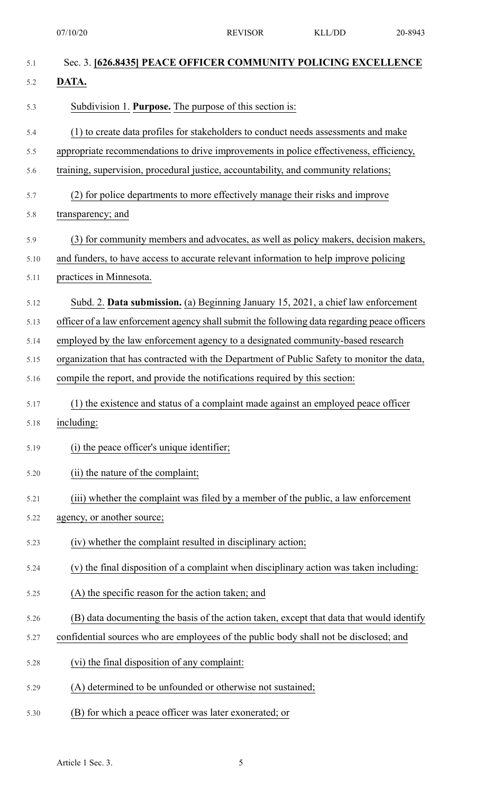07/10/20 REVISOR KLL/DD 20-8943

| 5.1  | Sec. 3. [626.8435] PEACE OFFICER COMMUNITY POLICING EXCELLENCE                               |
|------|----------------------------------------------------------------------------------------------|
| 5.2  | DATA.                                                                                        |
| 5.3  | Subdivision 1. Purpose. The purpose of this section is:                                      |
| 5.4  | (1) to create data profiles for stakeholders to conduct needs assessments and make           |
| 5.5  | appropriate recommendations to drive improvements in police effectiveness, efficiency,       |
| 5.6  | training, supervision, procedural justice, accountability, and community relations;          |
| 5.7  | (2) for police departments to more effectively manage their risks and improve                |
| 5.8  | transparency; and                                                                            |
| 5.9  | (3) for community members and advocates, as well as policy makers, decision makers,          |
| 5.10 | and funders, to have access to accurate relevant information to help improve policing        |
| 5.11 | practices in Minnesota.                                                                      |
| 5.12 | Subd. 2. Data submission. (a) Beginning January 15, 2021, a chief law enforcement            |
| 5.13 | officer of a law enforcement agency shall submit the following data regarding peace officers |
| 5.14 | employed by the law enforcement agency to a designated community-based research              |
| 5.15 | organization that has contracted with the Department of Public Safety to monitor the data,   |
| 5.16 | compile the report, and provide the notifications required by this section:                  |
| 5.17 | (1) the existence and status of a complaint made against an employed peace officer           |
| 5.18 | including:                                                                                   |
| 5.19 | (i) the peace officer's unique identifier;                                                   |
| 5.20 | (ii) the nature of the complaint;                                                            |
| 5.21 | (iii) whether the complaint was filed by a member of the public, a law enforcement           |
| 5.22 | agency, or another source;                                                                   |
| 5.23 | (iv) whether the complaint resulted in disciplinary action;                                  |
| 5.24 | (v) the final disposition of a complaint when disciplinary action was taken including:       |
| 5.25 | (A) the specific reason for the action taken; and                                            |
| 5.26 | (B) data documenting the basis of the action taken, except that data that would identify     |
| 5.27 | confidential sources who are employees of the public body shall not be disclosed; and        |
| 5.28 | (vi) the final disposition of any complaint:                                                 |
| 5.29 | (A) determined to be unfounded or otherwise not sustained;                                   |
| 5.30 | (B) for which a peace officer was later exonerated; or                                       |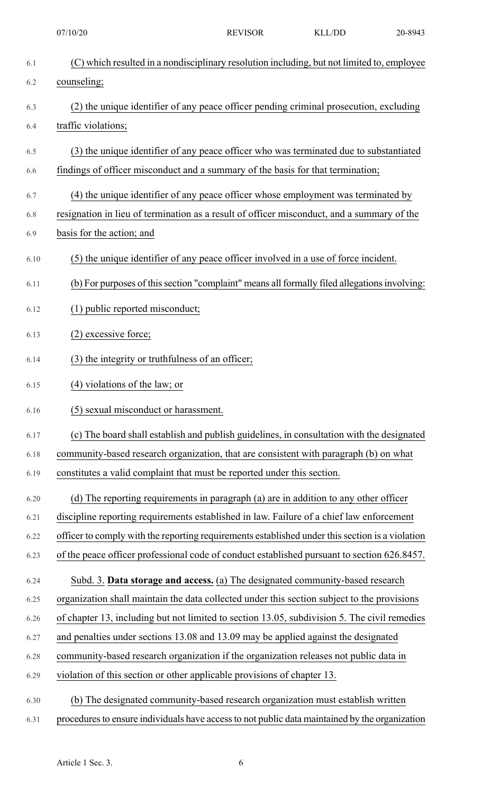6.1 (C) which resulted in a nondisciplinary resolution including, but not limited to, employee 6.2 counseling; 6.3 (2) the unique identifier of any peace officer pending criminal prosecution, excluding 6.4 traffic violations; 6.5 (3) the unique identifier of any peace officer who was terminated due to substantiated 6.6 findings of officer misconduct and a summary of the basis for that termination; 6.7 (4) the unique identifier of any peace officer whose employment was terminated by 6.8 resignation in lieu of termination as a result of officer misconduct, and a summary of the 6.9 basis for the action; and 6.10 (5) the unique identifier of any peace officer involved in a use of force incident. 6.11 (b) For purposes of this section "complaint" means all formally filed allegations involving: 6.12 (1) public reported misconduct; 6.13 (2) excessive force; 6.14 (3) the integrity or truthfulness of an officer; 6.15 (4) violations of the law; or 6.16 (5) sexual misconduct or harassment. 6.17 (c) The board shall establish and publish guidelines, in consultation with the designated 6.18 community-based research organization, that are consistent with paragraph (b) on what 6.19 constitutes a valid complaint that must be reported under this section. 6.20 (d) The reporting requirements in paragraph (a) are in addition to any other officer 6.21 discipline reporting requirements established in law. Failure of a chief law enforcement 6.22 officer to comply with the reporting requirements established under this section is a violation 6.23 of the peace officer professional code of conduct established pursuant to section 626.8457. 6.24 Subd. 3. **Data storage and access.** (a) The designated community-based research 6.25 organization shall maintain the data collected under this section subject to the provisions 6.26 of chapter 13, including but not limited to section 13.05, subdivision 5. The civil remedies 6.27 and penalties under sections 13.08 and 13.09 may be applied against the designated 6.28 community-based research organization if the organization releases not public data in 6.29 violation of this section or other applicable provisions of chapter 13. 6.30 (b) The designated community-based research organization must establish written 6.31 procedures to ensure individuals have access to not public data maintained by the organization 07/10/20 REVISOR KLL/DD 20-8943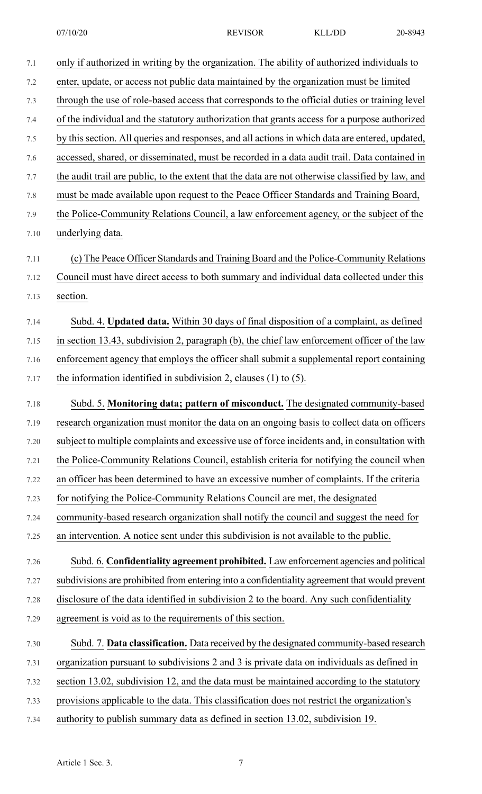7.3 through the use of role-based access that corresponds to the official duties or training level 7.4 of the individual and the statutory authorization that grants access for a purpose authorized

- 7.5 by this section. All queries and responses, and all actions in which data are entered, updated,
- 7.6 accessed, shared, or disseminated, must be recorded in a data audit trail. Data contained in
- 7.7 the audit trail are public, to the extent that the data are not otherwise classified by law, and
- 7.8 must be made available upon request to the Peace Officer Standards and Training Board,
- 7.9 the Police-Community Relations Council, a law enforcement agency, or the subject of the
- 7.10 underlying data.
- 7.11 (c) The Peace Officer Standards and Training Board and the Police-Community Relations 7.12 Council must have direct access to both summary and individual data collected under this
- 7.13 section.
- 7.14 Subd. 4. **Updated data.** Within 30 days of final disposition of a complaint, as defined 7.15 in section 13.43, subdivision 2, paragraph (b), the chief law enforcement officer of the law 7.16 enforcement agency that employs the officer shall submit a supplemental report containing 7.17 the information identified in subdivision 2, clauses (1) to (5).
- 7.18 Subd. 5. **Monitoring data; pattern of misconduct.** The designated community-based 7.19 research organization must monitor the data on an ongoing basis to collect data on officers 7.20 subject to multiple complaints and excessive use of force incidents and, in consultation with 7.21 the Police-Community Relations Council, establish criteria for notifying the council when 7.22 an officer has been determined to have an excessive number of complaints. If the criteria 7.23 for notifying the Police-Community Relations Council are met, the designated 7.24 community-based research organization shall notify the council and suggest the need for 7.25 an intervention. A notice sent under this subdivision is not available to the public. 7.26 Subd. 6. **Confidentiality agreement prohibited.** Law enforcement agencies and political

7.27 subdivisions are prohibited from entering into a confidentiality agreement that would prevent

- 7.28 disclosure of the data identified in subdivision 2 to the board. Any such confidentiality 7.29 agreement is void as to the requirements of this section.
- 7.30 Subd. 7. **Data classification.** Data received by the designated community-based research 7.31 organization pursuant to subdivisions 2 and 3 is private data on individuals as defined in 7.32 section 13.02, subdivision 12, and the data must be maintained according to the statutory 7.33 provisions applicable to the data. This classification does not restrict the organization's
- 7.34 authority to publish summary data as defined in section 13.02, subdivision 19.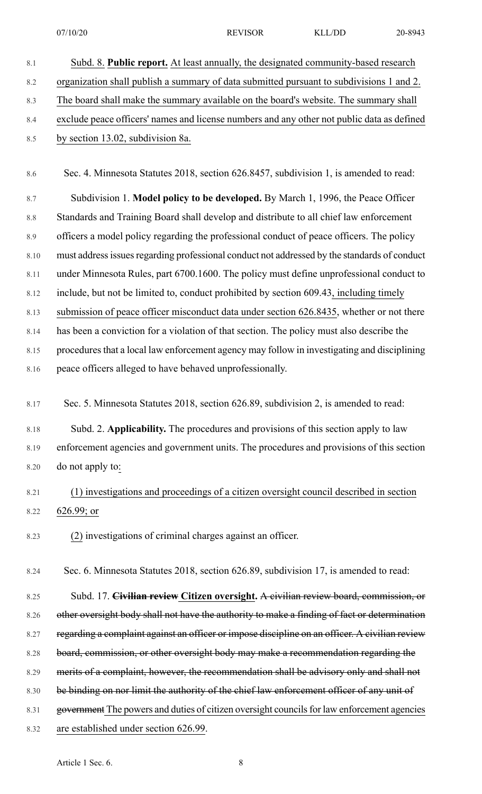- 8.1 Subd. 8. **Public report.** At least annually, the designated community-based research 8.2 organization shall publish a summary of data submitted pursuant to subdivisions 1 and 2. 8.3 The board shall make the summary available on the board's website. The summary shall 8.4 exclude peace officers' names and license numbers and any other not public data as defined 8.5 by section 13.02, subdivision 8a. 8.6 Sec. 4. Minnesota Statutes 2018, section 626.8457, subdivision 1, is amended to read: 8.7 Subdivision 1. **Model policy to be developed.** By March 1, 1996, the Peace Officer 8.8 Standards and Training Board shall develop and distribute to all chief law enforcement 8.9 officers a model policy regarding the professional conduct of peace officers. The policy 8.10 must address issues regarding professional conduct not addressed by the standards of conduct 8.11 under Minnesota Rules, part 6700.1600. The policy must define unprofessional conduct to 8.12 include, but not be limited to, conduct prohibited by section 609.43, including timely 8.13 submission of peace officer misconduct data under section 626.8435, whether or not there 8.14 has been a conviction for a violation of that section. The policy must also describe the 8.15 procedures that a local law enforcement agency may follow in investigating and disciplining 8.16 peace officers alleged to have behaved unprofessionally.
- 8.17 Sec. 5. Minnesota Statutes 2018, section 626.89, subdivision 2, is amended to read:

8.18 Subd. 2. **Applicability.** The procedures and provisions of this section apply to law 8.19 enforcement agencies and government units. The procedures and provisions of this section 8.20 do not apply to:

### 8.21 (1) investigations and proceedings of a citizen oversight council described in section 8.22 626.99; or

8.23 (2) investigations of criminal charges against an officer.

8.24 Sec. 6. Minnesota Statutes 2018, section 626.89, subdivision 17, is amended to read:

8.25 Subd. 17. **Civilian review Citizen oversight.** A civilian review board, commission, or 8.26 other oversight body shall not have the authority to make a finding of fact or determination 8.27 regarding a complaint against an officer or impose discipline on an officer. A civilian review 8.28 board, commission, or other oversight body may make a recommendation regarding the 8.29 merits of a complaint, however, the recommendation shall be advisory only and shall not 8.30 be binding on nor limit the authority of the chief law enforcement officer of any unit of 8.31 government The powers and duties of citizen oversight councils for law enforcement agencies 8.32 are established under section 626.99.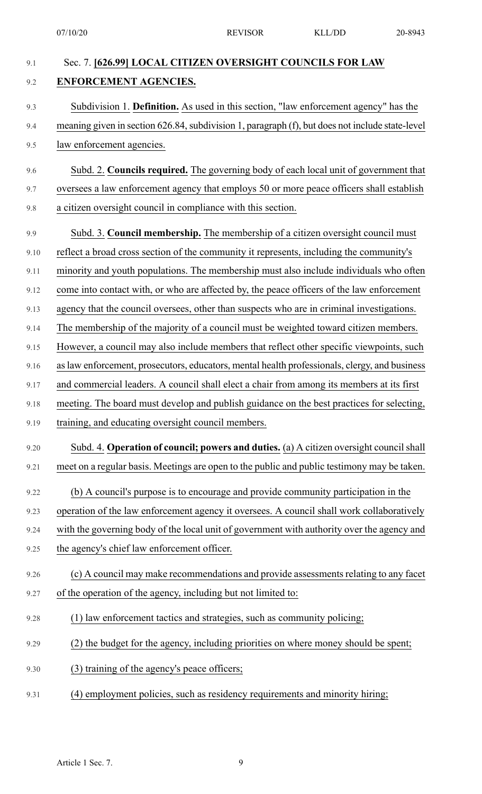| 9.1  | Sec. 7. [626.99] LOCAL CITIZEN OVERSIGHT COUNCILS FOR LAW                                       |
|------|-------------------------------------------------------------------------------------------------|
| 9.2  | ENFORCEMENT AGENCIES.                                                                           |
| 9.3  | Subdivision 1. Definition. As used in this section, "law enforcement agency" has the            |
| 9.4  | meaning given in section 626.84, subdivision 1, paragraph (f), but does not include state-level |
| 9.5  | law enforcement agencies.                                                                       |
| 9.6  | Subd. 2. Councils required. The governing body of each local unit of government that            |
| 9.7  | oversees a law enforcement agency that employs 50 or more peace officers shall establish        |
| 9.8  | a citizen oversight council in compliance with this section.                                    |
| 9.9  | Subd. 3. Council membership. The membership of a citizen oversight council must                 |
| 9.10 | reflect a broad cross section of the community it represents, including the community's         |
| 9.11 | minority and youth populations. The membership must also include individuals who often          |
| 9.12 | come into contact with, or who are affected by, the peace officers of the law enforcement       |
| 9.13 | agency that the council oversees, other than suspects who are in criminal investigations.       |
| 9.14 | The membership of the majority of a council must be weighted toward citizen members.            |
| 9.15 | However, a council may also include members that reflect other specific viewpoints, such        |
| 9.16 | as law enforcement, prosecutors, educators, mental health professionals, clergy, and business   |
| 9.17 | and commercial leaders. A council shall elect a chair from among its members at its first       |
| 9.18 | meeting. The board must develop and publish guidance on the best practices for selecting,       |
| 9.19 | training, and educating oversight council members.                                              |
| 9.20 | Subd. 4. Operation of council; powers and duties. (a) A citizen oversight council shall         |
| 9.21 | meet on a regular basis. Meetings are open to the public and public testimony may be taken.     |
| 9.22 | (b) A council's purpose is to encourage and provide community participation in the              |
| 9.23 | operation of the law enforcement agency it oversees. A council shall work collaboratively       |
| 9.24 | with the governing body of the local unit of government with authority over the agency and      |
| 9.25 | the agency's chief law enforcement officer.                                                     |
| 9.26 | (c) A council may make recommendations and provide assessments relating to any facet            |
| 9.27 | of the operation of the agency, including but not limited to:                                   |
| 9.28 | (1) law enforcement tactics and strategies, such as community policing;                         |
| 9.29 | (2) the budget for the agency, including priorities on where money should be spent;             |
| 9.30 | (3) training of the agency's peace officers;                                                    |
| 9.31 | (4) employment policies, such as residency requirements and minority hiring;                    |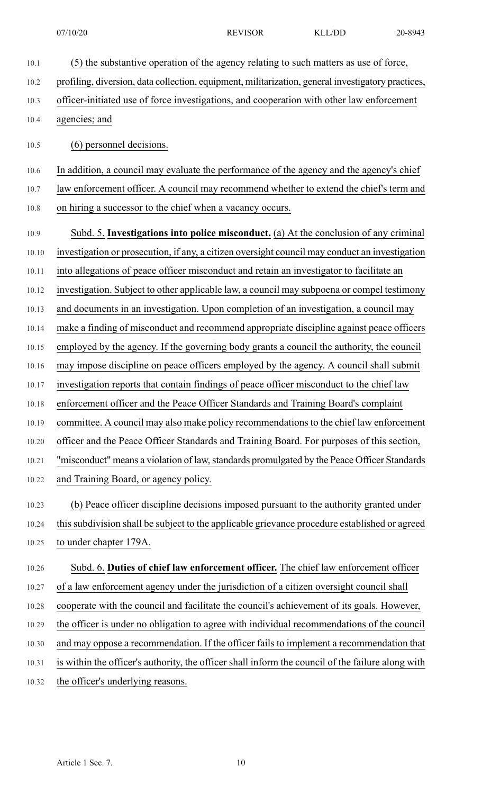10.1 (5) the substantive operation of the agency relating to such matters as use of force,

- 
- 10.2 profiling, diversion, data collection, equipment, militarization, general investigatory practices, 10.3 officer-initiated use of force investigations, and cooperation with other law enforcement 10.4 agencies; and 10.5 (6) personnel decisions. 10.6 In addition, a council may evaluate the performance of the agency and the agency's chief 10.7 law enforcement officer. A council may recommend whether to extend the chief's term and 10.8 on hiring a successor to the chief when a vacancy occurs. 10.9 Subd. 5. **Investigations into police misconduct.** (a) At the conclusion of any criminal 10.10 investigation or prosecution, if any, a citizen oversight council may conduct an investigation 10.11 into allegations of peace officer misconduct and retain an investigator to facilitate an 10.12 investigation. Subject to other applicable law, a council may subpoena or compel testimony 10.13 and documents in an investigation. Upon completion of an investigation, a council may 10.14 make a finding of misconduct and recommend appropriate discipline against peace officers 10.15 employed by the agency. If the governing body grants a council the authority, the council 10.16 may impose discipline on peace officers employed by the agency. A council shall submit 10.17 investigation reports that contain findings of peace officer misconduct to the chief law 10.18 enforcement officer and the Peace Officer Standards and Training Board's complaint 10.19 committee. A council may also make policy recommendations to the chief law enforcement 10.20 officer and the Peace Officer Standards and Training Board. For purposes of this section, 10.21 "misconduct" means a violation of law, standards promulgated by the Peace Officer Standards 10.22 and Training Board, or agency policy. 10.23 (b) Peace officer discipline decisions imposed pursuant to the authority granted under 10.24 this subdivision shall be subject to the applicable grievance procedure established or agreed 10.25 to under chapter 179A. 10.26 Subd. 6. **Duties of chief law enforcement officer.** The chief law enforcement officer 10.27 of a law enforcement agency under the jurisdiction of a citizen oversight council shall 10.28 cooperate with the council and facilitate the council's achievement of its goals. However, 10.29 the officer is under no obligation to agree with individual recommendations of the council 10.30 and may oppose a recommendation. If the officer fails to implement a recommendation that 10.31 is within the officer's authority, the officer shall inform the council of the failure along with 10.32 the officer's underlying reasons.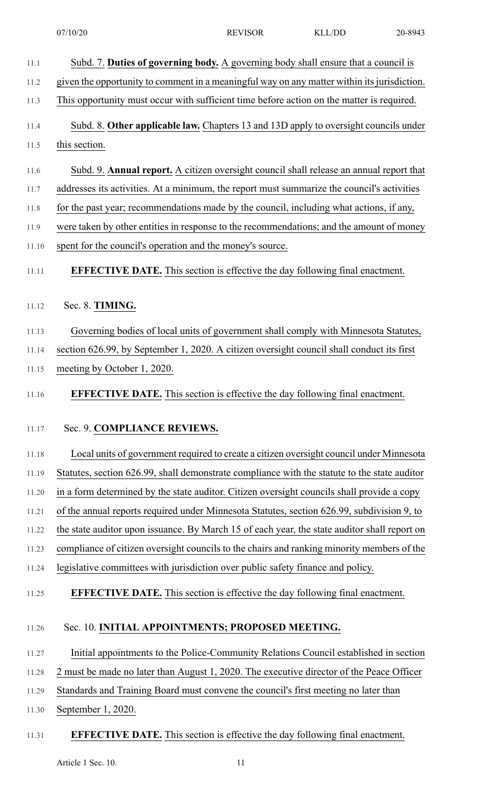11.1 Subd. 7. **Duties of governing body.** A governing body shall ensure that a council is 11.2 given the opportunity to comment in a meaningful way on any matter within itsjurisdiction. 11.3 This opportunity must occur with sufficient time before action on the matter is required. 11.4 Subd. 8. **Other applicable law.** Chapters 13 and 13D apply to oversight councils under 11.5 this section. 11.6 Subd. 9. **Annual report.** A citizen oversight council shall release an annual report that 11.7 addresses its activities. At a minimum, the report must summarize the council's activities 11.8 for the past year; recommendations made by the council, including what actions, if any, 11.9 were taken by other entities in response to the recommendations; and the amount of money 11.10 spent for the council's operation and the money's source. 11.11 **EFFECTIVE DATE.** This section is effective the day following final enactment. 11.12 Sec. 8. **TIMING.** 11.13 Governing bodies of local units of government shall comply with Minnesota Statutes, 11.14 section 626.99, by September 1, 2020. A citizen oversight council shall conduct its first 11.15 meeting by October 1, 2020. 11.16 **EFFECTIVE DATE.** This section is effective the day following final enactment. 11.17 Sec. 9. **COMPLIANCE REVIEWS.** 11.18 Local units of government required to create a citizen oversight council under Minnesota 11.19 Statutes, section 626.99, shall demonstrate compliance with the statute to the state auditor 11.20 in a form determined by the state auditor. Citizen oversight councils shall provide a copy 11.21 of the annual reports required under Minnesota Statutes, section 626.99, subdivision 9, to 11.22 the state auditor upon issuance. By March 15 of each year, the state auditor shall report on 11.23 compliance of citizen oversight councils to the chairs and ranking minority members of the 11.24 legislative committees with jurisdiction over public safety finance and policy. 11.25 **EFFECTIVE DATE.** This section is effective the day following final enactment. 11.26 Sec. 10. **INITIAL APPOINTMENTS; PROPOSED MEETING.** 11.27 Initial appointments to the Police-Community Relations Council established in section 11.28 2 must be made no later than August 1, 2020. The executive director of the Peace Officer 11.29 Standards and Training Board must convene the council's first meeting no later than 11.30 September 1, 2020. 11.31 **EFFECTIVE DATE.** This section is effective the day following final enactment.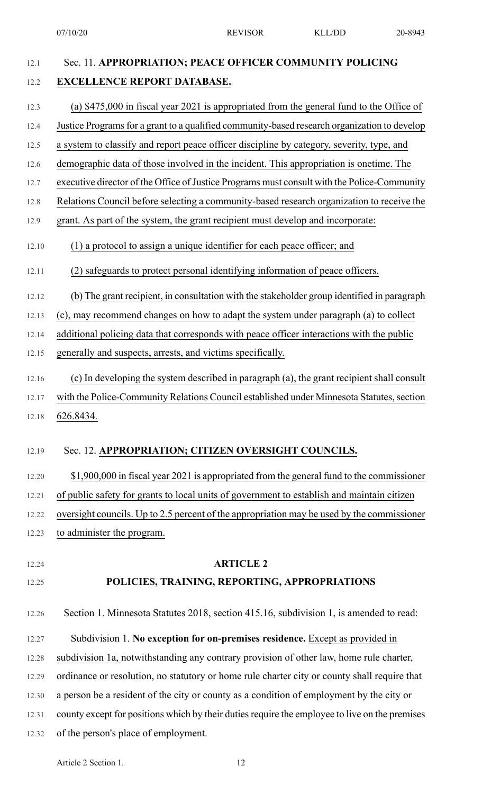# 12.1 Sec. 11. **APPROPRIATION; PEACE OFFICER COMMUNITY POLICING** 12.2 **EXCELLENCE REPORT DATABASE.** 12.3 (a) \$475,000 in fiscal year 2021 is appropriated from the general fund to the Office of 12.4 Justice Programs for a grant to a qualified community-based research organization to develop 12.5 a system to classify and report peace officer discipline by category, severity, type, and 12.6 demographic data of those involved in the incident. This appropriation is onetime. The 12.7 executive director of the Office of Justice Programs must consult with the Police-Community 12.8 Relations Council before selecting a community-based research organization to receive the 12.9 grant. As part of the system, the grant recipient must develop and incorporate: 12.10 (1) a protocol to assign a unique identifier for each peace officer; and 12.11 (2) safeguards to protect personal identifying information of peace officers. 12.12 (b) The grant recipient, in consultation with the stakeholder group identified in paragraph 12.13 (c), may recommend changes on how to adapt the system under paragraph (a) to collect 12.14 additional policing data that corresponds with peace officer interactions with the public 12.15 generally and suspects, arrests, and victims specifically. 12.16 (c) In developing the system described in paragraph (a), the grant recipient shall consult 12.17 with the Police-Community Relations Council established under Minnesota Statutes, section 12.18 626.8434. 12.19 Sec. 12. **APPROPRIATION; CITIZEN OVERSIGHT COUNCILS.** 12.20 \$1,900,000 in fiscal year 2021 is appropriated from the general fund to the commissioner 12.21 of public safety for grants to local units of government to establish and maintain citizen 12.22 oversight councils. Up to 2.5 percent of the appropriation may be used by the commissioner 12.23 to administer the program. 12.24 **ARTICLE 2** 12.25 **POLICIES, TRAINING, REPORTING, APPROPRIATIONS** 12.26 Section 1. Minnesota Statutes 2018, section 415.16, subdivision 1, is amended to read: 12.27 Subdivision 1. **No exception for on-premises residence.** Except as provided in 12.28 subdivision 1a, notwithstanding any contrary provision of other law, home rule charter, 12.29 ordinance or resolution, no statutory or home rule charter city or county shall require that 12.30 a person be a resident of the city or county as a condition of employment by the city or 12.31 county except for positions which by their duties require the employee to live on the premises 07/10/20 REVISOR KLL/DD 20-8943

12.32 of the person's place of employment.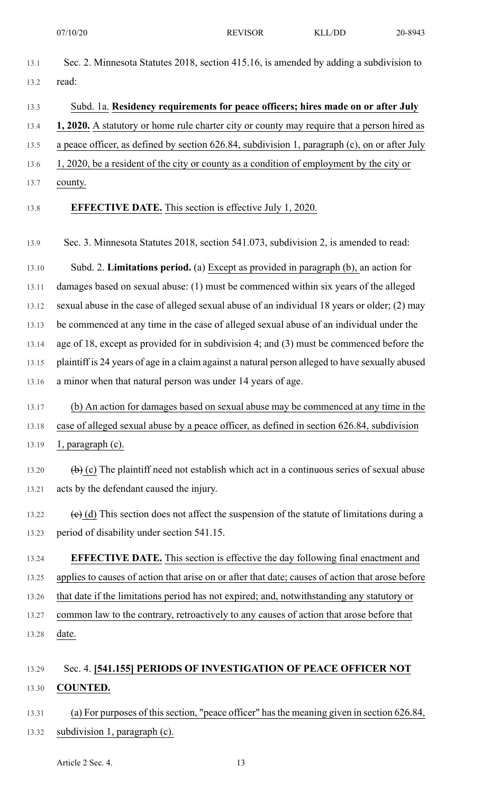- 13.1 Sec. 2. Minnesota Statutes 2018, section 415.16, is amended by adding a subdivision to 13.2 read:
- 13.3 Subd. 1a. **Residency requirements for peace officers; hires made on or after July**
- 13.4 **1, 2020.** A statutory or home rule charter city or county may require that a person hired as

13.5 a peace officer, as defined by section 626.84, subdivision 1, paragraph (c), on or after July

- 13.6 1, 2020, be a resident of the city or county as a condition of employment by the city or
- 13.7 county.

#### 13.8 **EFFECTIVE DATE.** This section is effective July 1, 2020.

13.9 Sec. 3. Minnesota Statutes 2018, section 541.073, subdivision 2, is amended to read:

13.10 Subd. 2. **Limitations period.** (a) Except as provided in paragraph (b), an action for 13.11 damages based on sexual abuse: (1) must be commenced within six years of the alleged 13.12 sexual abuse in the case of alleged sexual abuse of an individual 18 years or older; (2) may 13.13 be commenced at any time in the case of alleged sexual abuse of an individual under the 13.14 age of 18, except as provided for in subdivision 4; and (3) must be commenced before the 13.15 plaintiff is 24 years of age in a claim against a natural person alleged to have sexually abused 13.16 a minor when that natural person was under 14 years of age.

13.17 (b) An action for damages based on sexual abuse may be commenced at any time in the 13.18 case of alleged sexual abuse by a peace officer, as defined in section 626.84, subdivision 13.19 1, paragraph (c).

- 13.20  $\left(\frac{b}{c}\right)$  (c) The plaintiff need not establish which act in a continuous series of sexual abuse 13.21 acts by the defendant caused the injury.
- 13.22  $\left(\mathbf{e}\right)$  (d) This section does not affect the suspension of the statute of limitations during a 13.23 period of disability under section 541.15.
- 13.24 **EFFECTIVE DATE.** This section is effective the day following final enactment and 13.25 applies to causes of action that arise on or after that date; causes of action that arose before 13.26 that date if the limitations period has not expired; and, notwithstanding any statutory or
- 13.27 common law to the contrary, retroactively to any causes of action that arose before that 13.28 date.

### 13.29 Sec. 4. **[541.155] PERIODS OF INVESTIGATION OF PEACE OFFICER NOT** 13.30 **COUNTED.**

13.31 (a) For purposes of this section, "peace officer" has the meaning given in section 626.84, 13.32 subdivision 1, paragraph (c).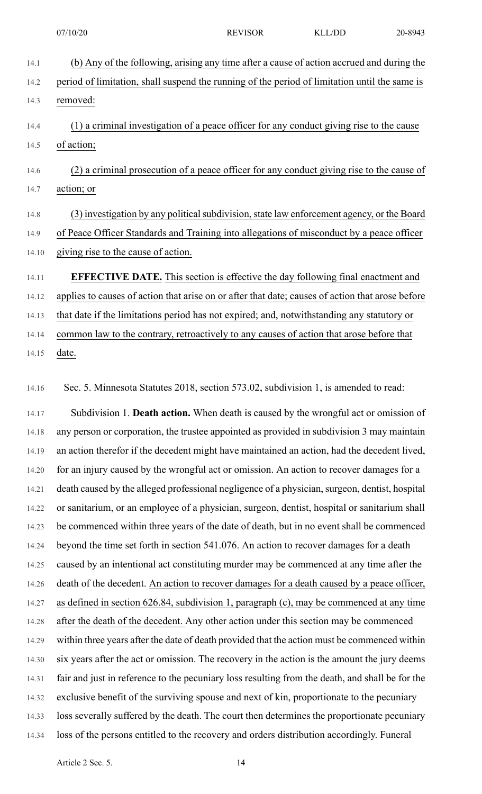| 14.1  | (b) Any of the following, arising any time after a cause of action accrued and during the        |
|-------|--------------------------------------------------------------------------------------------------|
| 14.2  | period of limitation, shall suspend the running of the period of limitation until the same is    |
| 14.3  | removed:                                                                                         |
| 14.4  | (1) a criminal investigation of a peace officer for any conduct giving rise to the cause         |
| 14.5  | of action;                                                                                       |
| 14.6  | (2) a criminal prosecution of a peace officer for any conduct giving rise to the cause of        |
| 14.7  | action; or                                                                                       |
| 14.8  | (3) investigation by any political subdivision, state law enforcement agency, or the Board       |
| 14.9  | of Peace Officer Standards and Training into allegations of misconduct by a peace officer        |
| 14.10 | giving rise to the cause of action.                                                              |
| 14.11 | <b>EFFECTIVE DATE.</b> This section is effective the day following final enactment and           |
| 14.12 | applies to causes of action that arise on or after that date; causes of action that arose before |
| 14.13 | that date if the limitations period has not expired; and, not with standing any statutory or     |
| 14.14 | common law to the contrary, retroactively to any causes of action that arose before that         |
| 14.15 | date.                                                                                            |

14.16 Sec. 5. Minnesota Statutes 2018, section 573.02, subdivision 1, is amended to read:

14.17 Subdivision 1. **Death action.** When death is caused by the wrongful act or omission of 14.18 any person or corporation, the trustee appointed as provided in subdivision 3 may maintain 14.19 an action therefor if the decedent might have maintained an action, had the decedent lived, 14.20 for an injury caused by the wrongful act or omission. An action to recover damages for a 14.21 death caused by the alleged professional negligence of a physician, surgeon, dentist, hospital 14.22 or sanitarium, or an employee of a physician, surgeon, dentist, hospital or sanitarium shall 14.23 be commenced within three years of the date of death, but in no event shall be commenced 14.24 beyond the time set forth in section 541.076. An action to recover damages for a death 14.25 caused by an intentional act constituting murder may be commenced at any time after the 14.26 death of the decedent. An action to recover damages for a death caused by a peace officer, 14.27 as defined in section 626.84, subdivision 1, paragraph (c), may be commenced at any time 14.28 after the death of the decedent. Any other action under this section may be commenced 14.29 within three years after the date of death provided that the action must be commenced within 14.30 six years after the act or omission. The recovery in the action is the amount the jury deems 14.31 fair and just in reference to the pecuniary loss resulting from the death, and shall be for the 14.32 exclusive benefit of the surviving spouse and next of kin, proportionate to the pecuniary 14.33 loss severally suffered by the death. The court then determines the proportionate pecuniary 14.34 loss of the persons entitled to the recovery and orders distribution accordingly. Funeral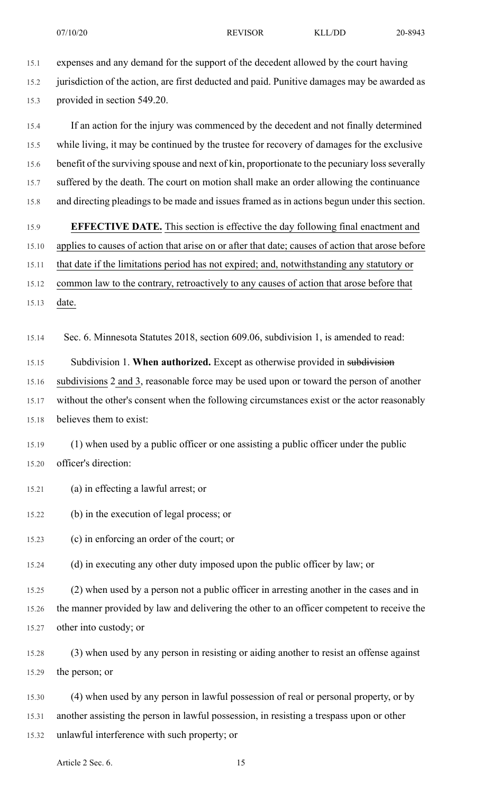15.1 expenses and any demand for the support of the decedent allowed by the court having 15.2 jurisdiction of the action, are first deducted and paid. Punitive damages may be awarded as 15.3 provided in section 549.20.

15.4 If an action for the injury was commenced by the decedent and not finally determined 15.5 while living, it may be continued by the trustee for recovery of damages for the exclusive 15.6 benefit of the surviving spouse and next of kin, proportionate to the pecuniary loss severally 15.7 suffered by the death. The court on motion shall make an order allowing the continuance 15.8 and directing pleadings to be made and issues framed as in actions begun under this section.

15.9 **EFFECTIVE DATE.** This section is effective the day following final enactment and 15.10 applies to causes of action that arise on or after that date; causes of action that arose before

15.11 that date if the limitations period has not expired; and, notwithstanding any statutory or

15.12 common law to the contrary, retroactively to any causes of action that arose before that 15.13 date.

15.14 Sec. 6. Minnesota Statutes 2018, section 609.06, subdivision 1, is amended to read:

15.15 Subdivision 1. **When authorized.** Except as otherwise provided in subdivision

15.16 subdivisions 2 and 3, reasonable force may be used upon or toward the person of another

15.17 without the other's consent when the following circumstances exist or the actor reasonably 15.18 believes them to exist:

15.19 (1) when used by a public officer or one assisting a public officer under the public 15.20 officer's direction:

15.21 (a) in effecting a lawful arrest; or

15.22 (b) in the execution of legal process; or

15.23 (c) in enforcing an order of the court; or

15.24 (d) in executing any other duty imposed upon the public officer by law; or

15.25 (2) when used by a person not a public officer in arresting another in the cases and in 15.26 the manner provided by law and delivering the other to an officer competent to receive the 15.27 other into custody; or

15.28 (3) when used by any person in resisting or aiding another to resist an offense against 15.29 the person; or

15.30 (4) when used by any person in lawful possession of real or personal property, or by 15.31 another assisting the person in lawful possession, in resisting a trespass upon or other

15.32 unlawful interference with such property; or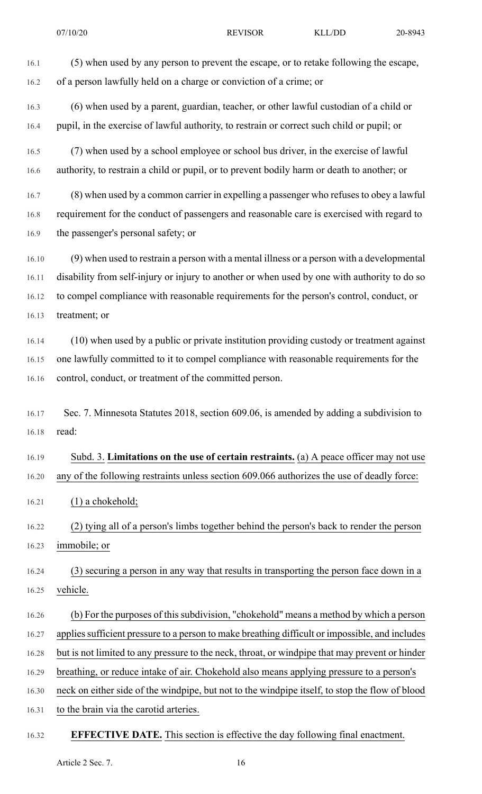16.1 (5) when used by any person to prevent the escape, or to retake following the escape, 16.2 of a person lawfully held on a charge or conviction of a crime; or 16.3 (6) when used by a parent, guardian, teacher, or other lawful custodian of a child or 16.4 pupil, in the exercise of lawful authority, to restrain or correct such child or pupil; or 16.5 (7) when used by a school employee or school bus driver, in the exercise of lawful 16.6 authority, to restrain a child or pupil, or to prevent bodily harm or death to another; or 16.7 (8) when used by a common carrier in expelling a passenger who refusesto obey a lawful 16.8 requirement for the conduct of passengers and reasonable care is exercised with regard to 16.9 the passenger's personal safety; or 16.10 (9) when used to restrain a person with a mental illness or a person with a developmental 16.11 disability from self-injury or injury to another or when used by one with authority to do so 16.12 to compel compliance with reasonable requirements for the person's control, conduct, or 16.13 treatment; or 16.14 (10) when used by a public or private institution providing custody or treatment against 16.15 one lawfully committed to it to compel compliance with reasonable requirements for the 16.16 control, conduct, or treatment of the committed person. 16.17 Sec. 7. Minnesota Statutes 2018, section 609.06, is amended by adding a subdivision to 16.18 read: 16.19 Subd. 3. **Limitations on the use of certain restraints.** (a) A peace officer may not use 16.20 any of the following restraints unless section 609.066 authorizes the use of deadly force: 16.21 (1) a chokehold; 16.22 (2) tying all of a person's limbs together behind the person's back to render the person 16.23 immobile; or 16.24 (3) securing a person in any way that results in transporting the person face down in a 16.25 vehicle.

- 16.26 (b) For the purposes of thissubdivision, "chokehold" means a method by which a person 16.27 applies sufficient pressure to a person to make breathing difficult or impossible, and includes 16.28 but is not limited to any pressure to the neck, throat, or windpipe that may prevent or hinder 16.29 breathing, or reduce intake of air. Chokehold also means applying pressure to a person's 16.30 neck on either side of the windpipe, but not to the windpipe itself, to stop the flow of blood
- 16.31 to the brain via the carotid arteries.

#### 16.32 **EFFECTIVE DATE.** This section is effective the day following final enactment.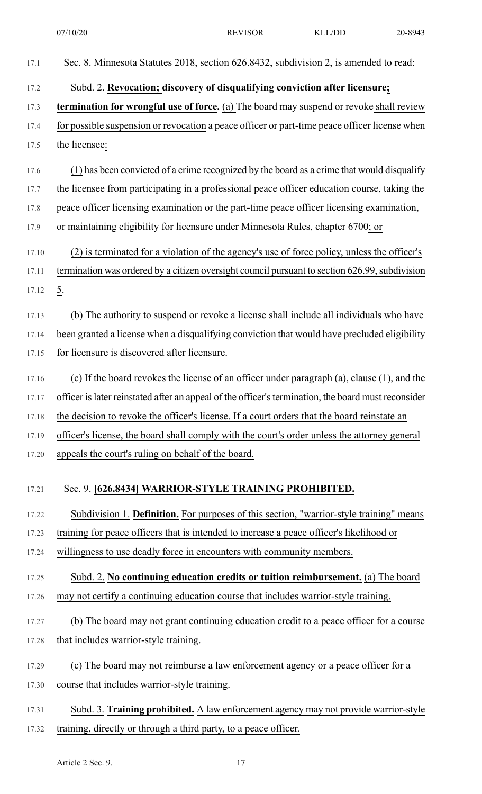| 17.1  | Sec. 8. Minnesota Statutes 2018, section 626.8432, subdivision 2, is amended to read:               |
|-------|-----------------------------------------------------------------------------------------------------|
| 17.2  | Subd. 2. Revocation; discovery of disqualifying conviction after licensure;                         |
| 17.3  | termination for wrongful use of force. (a) The board may suspend or revoke shall review             |
| 17.4  | for possible suspension or revocation a peace officer or part-time peace officer license when       |
| 17.5  | the licensee:                                                                                       |
| 17.6  | (1) has been convicted of a crime recognized by the board as a crime that would disqualify          |
| 17.7  | the licensee from participating in a professional peace officer education course, taking the        |
| 17.8  | peace officer licensing examination or the part-time peace officer licensing examination,           |
| 17.9  | or maintaining eligibility for licensure under Minnesota Rules, chapter 6700; or                    |
| 17.10 | (2) is terminated for a violation of the agency's use of force policy, unless the officer's         |
| 17.11 | termination was ordered by a citizen oversight council pursuant to section 626.99, subdivision      |
| 17.12 | $\underline{5}$ .                                                                                   |
| 17.13 | (b) The authority to suspend or revoke a license shall include all individuals who have             |
| 17.14 | been granted a license when a disqualifying conviction that would have precluded eligibility        |
| 17.15 | for licensure is discovered after licensure.                                                        |
| 17.16 | (c) If the board revokes the license of an officer under paragraph (a), clause (1), and the         |
| 17.17 | officer is later reinstated after an appeal of the officer's termination, the board must reconsider |
| 17.18 | the decision to revoke the officer's license. If a court orders that the board reinstate an         |
| 17.19 | officer's license, the board shall comply with the court's order unless the attorney general        |
| 17.20 | appeals the court's ruling on behalf of the board.                                                  |
| 17.21 | Sec. 9. [626.8434] WARRIOR-STYLE TRAINING PROHIBITED.                                               |
| 17.22 | Subdivision 1. Definition. For purposes of this section, "warrior-style training" means             |
| 17.23 | training for peace officers that is intended to increase a peace officer's likelihood or            |
| 17.24 | willingness to use deadly force in encounters with community members.                               |
| 17.25 | Subd. 2. No continuing education credits or tuition reimbursement. (a) The board                    |
| 17.26 | may not certify a continuing education course that includes warrior-style training.                 |
| 17.27 | (b) The board may not grant continuing education credit to a peace officer for a course             |
| 17.28 | that includes warrior-style training.                                                               |
| 17.29 | (c) The board may not reimburse a law enforcement agency or a peace officer for a                   |
| 17.30 | course that includes warrior-style training.                                                        |
| 17.31 | Subd. 3. Training prohibited. A law enforcement agency may not provide warrior-style                |
| 17.32 | training, directly or through a third party, to a peace officer.                                    |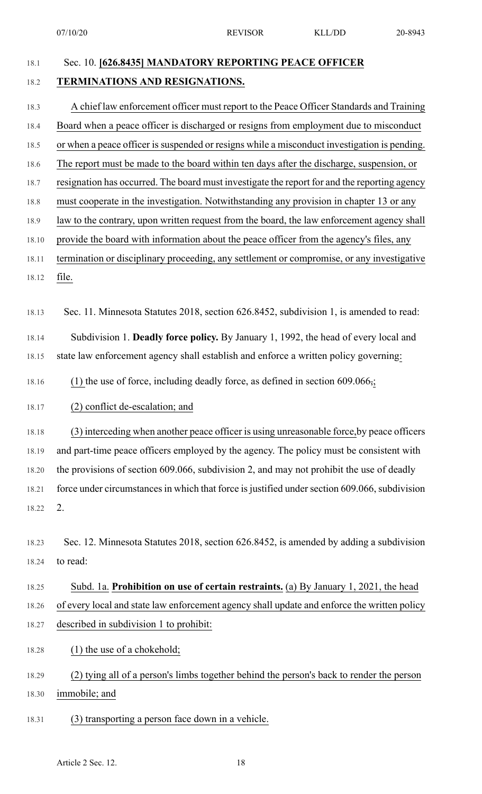07/10/20 REVISOR KLL/DD 20-8943

### 18.1 Sec. 10. **[626.8435] MANDATORY REPORTING PEACE OFFICER**

### 18.2 **TERMINATIONS AND RESIGNATIONS.**

- 18.3 A chief law enforcement officer must report to the Peace Officer Standards and Training 18.4 Board when a peace officer is discharged or resigns from employment due to misconduct 18.5 or when a peace officer is suspended or resigns while a misconduct investigation is pending. 18.6 The report must be made to the board within ten days after the discharge, suspension, or 18.7 resignation has occurred. The board must investigate the report for and the reporting agency 18.8 must cooperate in the investigation. Notwithstanding any provision in chapter 13 or any 18.9 law to the contrary, upon written request from the board, the law enforcement agency shall 18.10 provide the board with information about the peace officer from the agency's files, any 18.11 termination or disciplinary proceeding, any settlement or compromise, or any investigative 18.12 file. 18.13 Sec. 11. Minnesota Statutes 2018, section 626.8452, subdivision 1, is amended to read: 18.14 Subdivision 1. **Deadly force policy.** By January 1, 1992, the head of every local and 18.15 state law enforcement agency shall establish and enforce a written policy governing: 18.16 (1) the use of force, including deadly force, as defined in section 609.066,; 18.17 (2) conflict de-escalation; and 18.18 (3) interceding when another peace officer is using unreasonable force,by peace officers 18.19 and part-time peace officers employed by the agency. The policy must be consistent with 18.20 the provisions of section 609.066, subdivision 2, and may not prohibit the use of deadly 18.21 force under circumstances in which that force is justified under section 609.066, subdivision 18.22 2. 18.23 Sec. 12. Minnesota Statutes 2018, section 626.8452, is amended by adding a subdivision 18.24 to read: 18.25 Subd. 1a. **Prohibition on use of certain restraints.** (a) By January 1, 2021, the head 18.26 of every local and state law enforcement agency shall update and enforce the written policy 18.27 described in subdivision 1 to prohibit: 18.28 (1) the use of a chokehold; 18.29 (2) tying all of a person's limbs together behind the person's back to render the person 18.30 immobile; and
- 18.31 (3) transporting a person face down in a vehicle.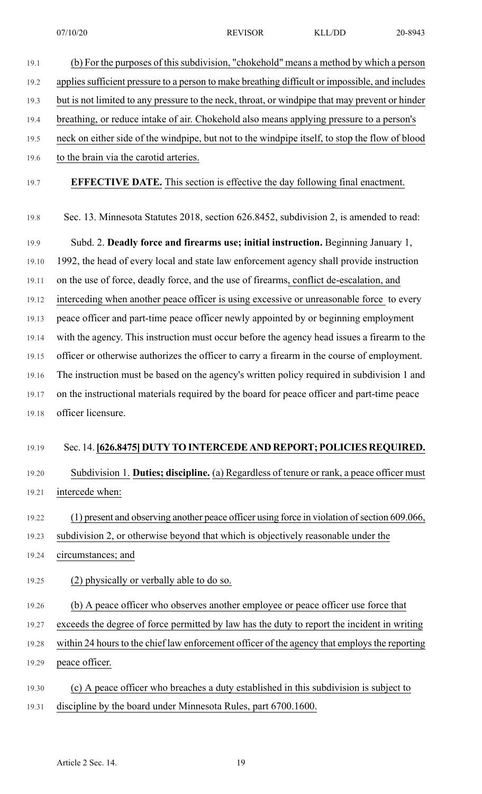| 19.1  | (b) For the purposes of this subdivision, "chokehold" means a method by which a person          |
|-------|-------------------------------------------------------------------------------------------------|
| 19.2  | applies sufficient pressure to a person to make breathing difficult or impossible, and includes |
| 19.3  | but is not limited to any pressure to the neck, throat, or windpipe that may prevent or hinder  |
| 19.4  | breathing, or reduce intake of air. Chokehold also means applying pressure to a person's        |
| 19.5  | neck on either side of the windpipe, but not to the windpipe itself, to stop the flow of blood  |
| 19.6  | to the brain via the carotid arteries.                                                          |
| 19.7  | <b>EFFECTIVE DATE.</b> This section is effective the day following final enactment.             |
| 19.8  | Sec. 13. Minnesota Statutes 2018, section 626.8452, subdivision 2, is amended to read:          |
| 19.9  | Subd. 2. Deadly force and firearms use; initial instruction. Beginning January 1,               |
| 19.10 | 1992, the head of every local and state law enforcement agency shall provide instruction        |
| 19.11 | on the use of force, deadly force, and the use of firearms, conflict de-escalation, and         |
| 19.12 | interceding when another peace officer is using excessive or unreasonable force to every        |
| 19.13 | peace officer and part-time peace officer newly appointed by or beginning employment            |
| 19.14 | with the agency. This instruction must occur before the agency head issues a firearm to the     |
| 19.15 | officer or otherwise authorizes the officer to carry a firearm in the course of employment.     |
| 19.16 | The instruction must be based on the agency's written policy required in subdivision 1 and      |
| 19.17 | on the instructional materials required by the board for peace officer and part-time peace      |
| 19.18 | officer licensure.                                                                              |
| 19.19 | Sec. 14. [626.8475] DUTY TO INTERCEDE AND REPORT; POLICIES REQUIRED.                            |
| 19.20 | Subdivision 1. Duties; discipline. (a) Regardless of tenure or rank, a peace officer must       |
| 19.21 | intercede when:                                                                                 |
| 19.22 | (1) present and observing another peace officer using force in violation of section 609.066,    |
| 19.23 | subdivision 2, or otherwise beyond that which is objectively reasonable under the               |
| 19.24 | circumstances; and                                                                              |
| 19.25 | (2) physically or verbally able to do so.                                                       |
| 19.26 | (b) A peace officer who observes another employee or peace officer use force that               |
| 19.27 | exceeds the degree of force permitted by law has the duty to report the incident in writing     |
| 19.28 | within 24 hours to the chief law enforcement officer of the agency that employs the reporting   |
| 19.29 | peace officer.                                                                                  |
| 19.30 | (c) A peace officer who breaches a duty established in this subdivision is subject to           |
| 19.31 | discipline by the board under Minnesota Rules, part 6700.1600.                                  |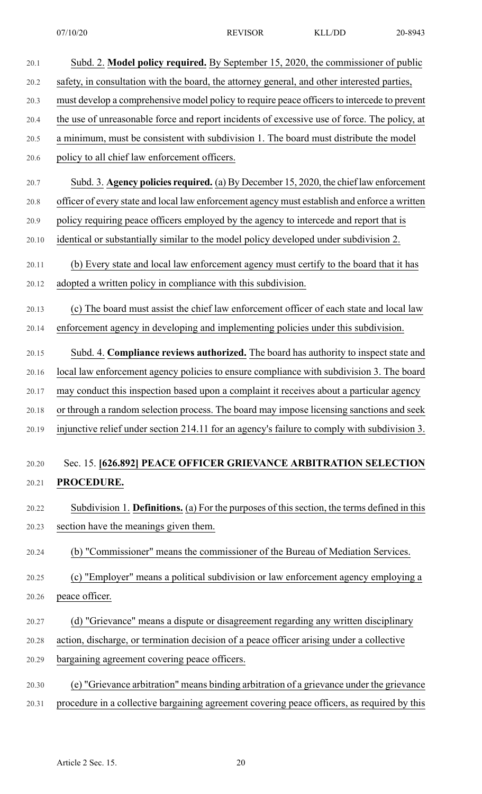| 20.1  | Subd. 2. Model policy required. By September 15, 2020, the commissioner of public            |
|-------|----------------------------------------------------------------------------------------------|
| 20.2  | safety, in consultation with the board, the attorney general, and other interested parties,  |
| 20.3  | must develop a comprehensive model policy to require peace officers to intercede to prevent  |
| 20.4  | the use of unreasonable force and report incidents of excessive use of force. The policy, at |
| 20.5  | a minimum, must be consistent with subdivision 1. The board must distribute the model        |
| 20.6  | policy to all chief law enforcement officers.                                                |
| 20.7  | Subd. 3. Agency policies required. (a) By December 15, 2020, the chief law enforcement       |
| 20.8  | officer of every state and local law enforcement agency must establish and enforce a written |
| 20.9  | policy requiring peace officers employed by the agency to intercede and report that is       |
| 20.10 | identical or substantially similar to the model policy developed under subdivision 2.        |
| 20.11 | (b) Every state and local law enforcement agency must certify to the board that it has       |
| 20.12 | adopted a written policy in compliance with this subdivision.                                |
| 20.13 | (c) The board must assist the chief law enforcement officer of each state and local law      |
| 20.14 | enforcement agency in developing and implementing policies under this subdivision.           |
| 20.15 | Subd. 4. Compliance reviews authorized. The board has authority to inspect state and         |
| 20.16 | local law enforcement agency policies to ensure compliance with subdivision 3. The board     |
| 20.17 | may conduct this inspection based upon a complaint it receives about a particular agency     |
| 20.18 | or through a random selection process. The board may impose licensing sanctions and seek     |
| 20.19 | injunctive relief under section 214.11 for an agency's failure to comply with subdivision 3. |
|       |                                                                                              |
| 20.20 | Sec. 15. [626.892] PEACE OFFICER GRIEVANCE ARBITRATION SELECTION                             |
| 20.21 | PROCEDURE.                                                                                   |
| 20.22 | Subdivision 1. Definitions. (a) For the purposes of this section, the terms defined in this  |
| 20.23 | section have the meanings given them.                                                        |
| 20.24 | (b) "Commissioner" means the commissioner of the Bureau of Mediation Services.               |
| 20.25 | (c) "Employer" means a political subdivision or law enforcement agency employing a           |
|       |                                                                                              |
| 20.26 | peace officer.                                                                               |

- 20.28 action, discharge, or termination decision of a peace officer arising under a collective
- 20.29 bargaining agreement covering peace officers.
- 20.30 (e) "Grievance arbitration" means binding arbitration of a grievance under the grievance
- 20.31 procedure in a collective bargaining agreement covering peace officers, as required by this

20.21 **PROCEDURE.**

20.26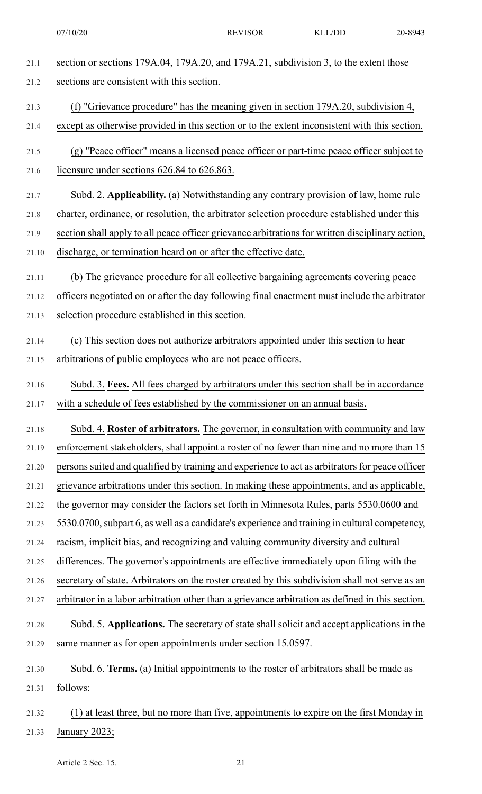07/10/20 REVISOR KLL/DD 20-8943

| 21.1  | section or sections 179A.04, 179A.20, and 179A.21, subdivision 3, to the extent those            |
|-------|--------------------------------------------------------------------------------------------------|
| 21.2  | sections are consistent with this section.                                                       |
| 21.3  | (f) "Grievance procedure" has the meaning given in section 179A.20, subdivision 4,               |
| 21.4  | except as otherwise provided in this section or to the extent inconsistent with this section.    |
| 21.5  | (g) "Peace officer" means a licensed peace officer or part-time peace officer subject to         |
| 21.6  | licensure under sections 626.84 to 626.863.                                                      |
| 21.7  | Subd. 2. Applicability. (a) Notwithstanding any contrary provision of law, home rule             |
| 21.8  | charter, ordinance, or resolution, the arbitrator selection procedure established under this     |
| 21.9  | section shall apply to all peace officer grievance arbitrations for written disciplinary action, |
| 21.10 | discharge, or termination heard on or after the effective date.                                  |
| 21.11 | (b) The grievance procedure for all collective bargaining agreements covering peace              |
| 21.12 | officers negotiated on or after the day following final enactment must include the arbitrator    |
| 21.13 | selection procedure established in this section.                                                 |
| 21.14 | (c) This section does not authorize arbitrators appointed under this section to hear             |
| 21.15 | arbitrations of public employees who are not peace officers.                                     |
| 21.16 | Subd. 3. Fees. All fees charged by arbitrators under this section shall be in accordance         |
| 21.17 | with a schedule of fees established by the commissioner on an annual basis.                      |
| 21.18 | Subd. 4. Roster of arbitrators. The governor, in consultation with community and law             |
| 21.19 | enforcement stakeholders, shall appoint a roster of no fewer than nine and no more than 15       |
| 21.20 | persons suited and qualified by training and experience to act as arbitrators for peace officer  |
| 21.21 | grievance arbitrations under this section. In making these appointments, and as applicable,      |
| 21.22 | the governor may consider the factors set forth in Minnesota Rules, parts 5530.0600 and          |
| 21.23 | 5530.0700, subpart 6, as well as a candidate's experience and training in cultural competency,   |
| 21.24 | racism, implicit bias, and recognizing and valuing community diversity and cultural              |
| 21.25 | differences. The governor's appointments are effective immediately upon filing with the          |
| 21.26 | secretary of state. Arbitrators on the roster created by this subdivision shall not serve as an  |
| 21.27 | arbitrator in a labor arbitration other than a grievance arbitration as defined in this section. |
| 21.28 | Subd. 5. Applications. The secretary of state shall solicit and accept applications in the       |
| 21.29 | same manner as for open appointments under section 15.0597.                                      |
| 21.30 | Subd. 6. Terms. (a) Initial appointments to the roster of arbitrators shall be made as           |
| 21.31 | follows:                                                                                         |
| 21.32 | (1) at least three, but no more than five, appointments to expire on the first Monday in         |

21.33 January 2023;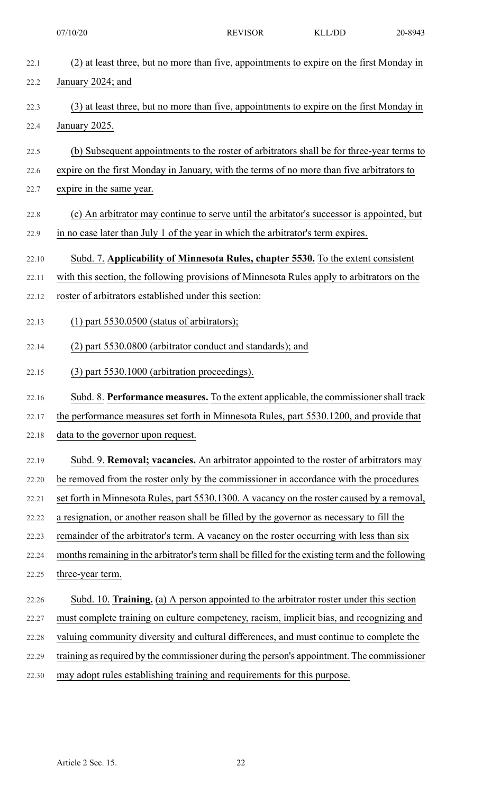| 22.1  | (2) at least three, but no more than five, appointments to expire on the first Monday in          |
|-------|---------------------------------------------------------------------------------------------------|
| 22.2  | January 2024; and                                                                                 |
| 22.3  | (3) at least three, but no more than five, appointments to expire on the first Monday in          |
| 22.4  | January 2025.                                                                                     |
| 22.5  | (b) Subsequent appointments to the roster of arbitrators shall be for three-year terms to         |
| 22.6  | expire on the first Monday in January, with the terms of no more than five arbitrators to         |
| 22.7  | expire in the same year.                                                                          |
| 22.8  | (c) An arbitrator may continue to serve until the arbitator's successor is appointed, but         |
| 22.9  | in no case later than July 1 of the year in which the arbitrator's term expires.                  |
| 22.10 | Subd. 7. Applicability of Minnesota Rules, chapter 5530. To the extent consistent                 |
| 22.11 | with this section, the following provisions of Minnesota Rules apply to arbitrators on the        |
| 22.12 | roster of arbitrators established under this section:                                             |
| 22.13 | $(1)$ part 5530.0500 (status of arbitrators);                                                     |
| 22.14 | (2) part 5530.0800 (arbitrator conduct and standards); and                                        |
| 22.15 | (3) part 5530.1000 (arbitration proceedings).                                                     |
| 22.16 | Subd. 8. Performance measures. To the extent applicable, the commissioner shall track             |
| 22.17 | the performance measures set forth in Minnesota Rules, part 5530.1200, and provide that           |
| 22.18 | data to the governor upon request.                                                                |
| 22.19 | Subd. 9. Removal; vacancies. An arbitrator appointed to the roster of arbitrators may             |
| 22.20 | be removed from the roster only by the commissioner in accordance with the procedures             |
| 22.21 | set forth in Minnesota Rules, part 5530.1300. A vacancy on the roster caused by a removal,        |
| 22.22 | a resignation, or another reason shall be filled by the governor as necessary to fill the         |
| 22.23 | remainder of the arbitrator's term. A vacancy on the roster occurring with less than six          |
| 22.24 | months remaining in the arbitrator's term shall be filled for the existing term and the following |
| 22.25 | three-year term.                                                                                  |
| 22.26 | Subd. 10. Training. (a) A person appointed to the arbitrator roster under this section            |
| 22.27 | must complete training on culture competency, racism, implicit bias, and recognizing and          |
| 22.28 | valuing community diversity and cultural differences, and must continue to complete the           |
| 22.29 | training as required by the commissioner during the person's appointment. The commissioner        |
| 22.30 | may adopt rules establishing training and requirements for this purpose.                          |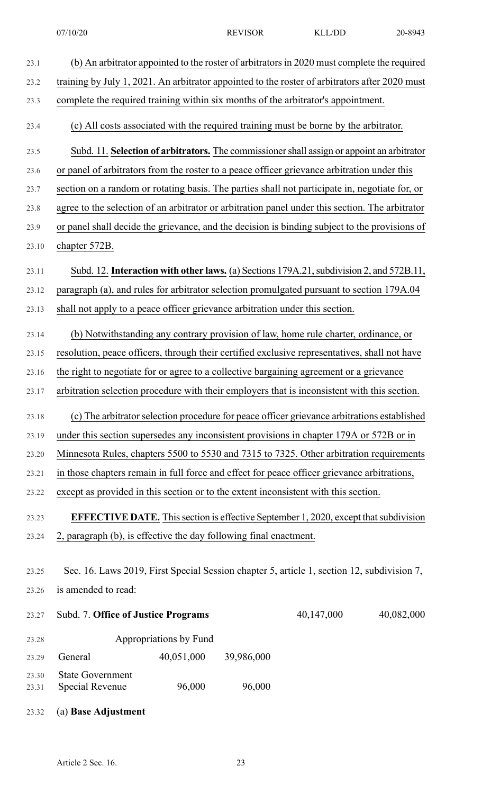| 23.1  | (b) An arbitrator appointed to the roster of arbitrators in 2020 must complete the required     |
|-------|-------------------------------------------------------------------------------------------------|
| 23.2  | training by July 1, 2021. An arbitrator appointed to the roster of arbitrators after 2020 must  |
| 23.3  | complete the required training within six months of the arbitrator's appointment.               |
| 23.4  | (c) All costs associated with the required training must be borne by the arbitrator.            |
| 23.5  | Subd. 11. Selection of arbitrators. The commissioner shall assign or appoint an arbitrator      |
| 23.6  | or panel of arbitrators from the roster to a peace officer grievance arbitration under this     |
| 23.7  | section on a random or rotating basis. The parties shall not participate in, negotiate for, or  |
| 23.8  | agree to the selection of an arbitrator or arbitration panel under this section. The arbitrator |
| 23.9  | or panel shall decide the grievance, and the decision is binding subject to the provisions of   |
| 23.10 | chapter 572B.                                                                                   |
| 23.11 | Subd. 12. Interaction with other laws. (a) Sections 179A.21, subdivision 2, and 572B.11,        |
| 23.12 | paragraph (a), and rules for arbitrator selection promulgated pursuant to section 179A.04       |
| 23.13 | shall not apply to a peace officer grievance arbitration under this section.                    |
| 23.14 | (b) Notwithstanding any contrary provision of law, home rule charter, ordinance, or             |
| 23.15 | resolution, peace officers, through their certified exclusive representatives, shall not have   |
| 23.16 | the right to negotiate for or agree to a collective bargaining agreement or a grievance         |
| 23.17 | arbitration selection procedure with their employers that is inconsistent with this section.    |
| 23.18 | (c) The arbitrator selection procedure for peace officer grievance arbitrations established     |
| 23.19 | under this section supersedes any inconsistent provisions in chapter 179A or 572B or in         |
| 23.20 | Minnesota Rules, chapters 5500 to 5530 and 7315 to 7325. Other arbitration requirements         |
| 23.21 | in those chapters remain in full force and effect for peace officer grievance arbitrations,     |
| 23.22 | except as provided in this section or to the extent inconsistent with this section.             |
| 23.23 | <b>EFFECTIVE DATE.</b> This section is effective September 1, 2020, except that subdivision     |
| 23.24 | 2, paragraph (b), is effective the day following final enactment.                               |
|       |                                                                                                 |
| 23.25 | Sec. 16. Laws 2019, First Special Session chapter 5, article 1, section 12, subdivision 7,      |
| 23.26 | is amended to read:                                                                             |
| 23.27 | 40,147,000<br>40,082,000<br>Subd. 7. Office of Justice Programs                                 |
| 23.28 | Appropriations by Fund                                                                          |
| 23.29 | 40,051,000<br>39,986,000<br>General                                                             |
| 23.30 | <b>State Government</b>                                                                         |
| 23.31 | 96,000<br>96,000<br><b>Special Revenue</b>                                                      |
| 23.32 | (a) Base Adjustment                                                                             |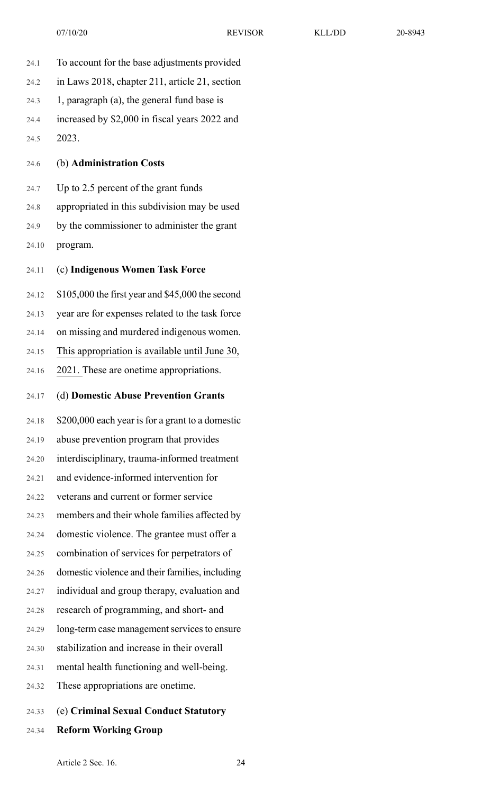- 24.1 To account for the base adjustments provided 24.2 in Laws 2018, chapter 211, article 21, section 24.3 1, paragraph (a), the general fund base is 24.4 increased by \$2,000 in fiscal years 2022 and 24.5 2023. 24.6 (b) **Administration Costs** 24.7 Up to 2.5 percent of the grant funds 24.8 appropriated in this subdivision may be used 24.9 by the commissioner to administer the grant 24.10 program. 24.11 (c) **Indigenous Women Task Force** 24.12 \$105,000 the first year and \$45,000 the second 24.13 year are for expenses related to the task force 24.14 on missing and murdered indigenous women. 24.15 This appropriation is available until June 30,
	- 24.16 2021. These are onetime appropriations.
	- 24.17 (d) **Domestic Abuse Prevention Grants**
- 24.18 \$200,000 each year isfor a grant to a domestic 24.19 abuse prevention program that provides 24.20 interdisciplinary, trauma-informed treatment 24.21 and evidence-informed intervention for 24.22 veterans and current or former service 24.23 members and their whole families affected by 24.24 domestic violence. The grantee must offer a 24.25 combination of services for perpetrators of 24.26 domestic violence and their families, including 24.27 individual and group therapy, evaluation and 24.28 research of programming, and short- and 24.29 long-term case management services to ensure 24.30 stabilization and increase in their overall 24.31 mental health functioning and well-being. 24.32 These appropriations are onetime.
- 24.33 (e) **Criminal Sexual Conduct Statutory**
- 24.34 **Reform Working Group**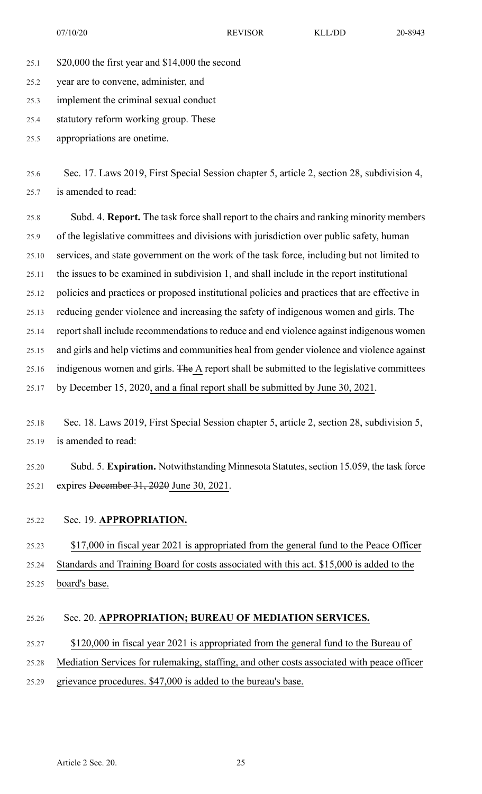- 25.1 \$20,000 the first year and \$14,000 the second
- 25.2 year are to convene, administer, and
- 25.3 implement the criminal sexual conduct
- 25.4 statutory reform working group. These
- 25.5 appropriations are onetime.
- 25.6 Sec. 17. Laws 2019, First Special Session chapter 5, article 2, section 28, subdivision 4, 25.7 is amended to read:
- 25.8 Subd. 4. **Report.** The task force shall report to the chairs and ranking minority members 25.9 of the legislative committees and divisions with jurisdiction over public safety, human 25.10 services, and state government on the work of the task force, including but not limited to 25.11 the issues to be examined in subdivision 1, and shall include in the report institutional 25.12 policies and practices or proposed institutional policies and practices that are effective in 25.13 reducing gender violence and increasing the safety of indigenous women and girls. The 25.14 report shall include recommendations to reduce and end violence against indigenous women 25.15 and girls and help victims and communities heal from gender violence and violence against 25.16 indigenous women and girls. The A report shall be submitted to the legislative committees 25.17 by December 15, 2020, and a final report shall be submitted by June 30, 2021.
- 25.18 Sec. 18. Laws 2019, First Special Session chapter 5, article 2, section 28, subdivision 5, 25.19 is amended to read:
- 25.20 Subd. 5. **Expiration.** Notwithstanding Minnesota Statutes, section 15.059, the task force 25.21 expires December 31, 2020 June 30, 2021.
- 25.22 Sec. 19. **APPROPRIATION.**

25.23 \$17,000 in fiscal year 2021 is appropriated from the general fund to the Peace Officer 25.24 Standards and Training Board for costs associated with this act. \$15,000 is added to the 25.25 board's base.

#### 25.26 Sec. 20. **APPROPRIATION; BUREAU OF MEDIATION SERVICES.**

25.27 \$120,000 in fiscal year 2021 is appropriated from the general fund to the Bureau of 25.28 Mediation Services for rulemaking, staffing, and other costs associated with peace officer 25.29 grievance procedures. \$47,000 is added to the bureau's base.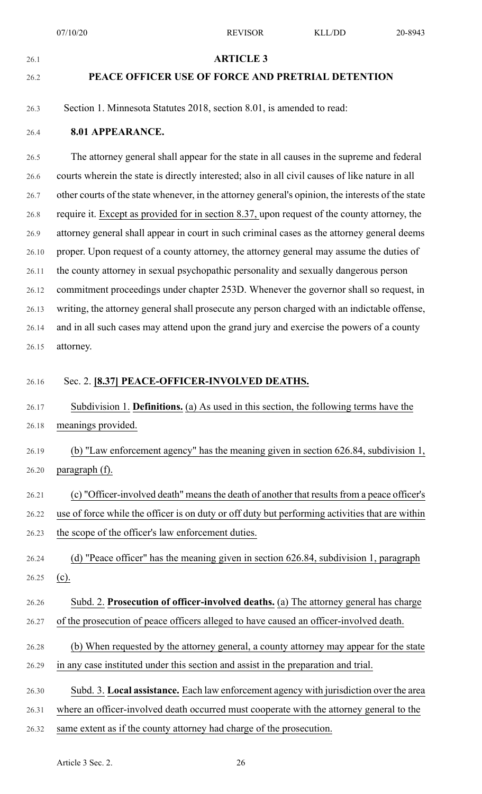### 26.1 **ARTICLE 3**

#### 26.2 **PEACE OFFICER USE OF FORCE AND PRETRIAL DETENTION**

26.3 Section 1. Minnesota Statutes 2018, section 8.01, is amended to read:

#### 26.4 **8.01 APPEARANCE.**

26.5 The attorney general shall appear for the state in all causes in the supreme and federal 26.6 courts wherein the state is directly interested; also in all civil causes of like nature in all 26.7 other courts of the state whenever, in the attorney general's opinion, the interests of the state 26.8 require it. Except as provided for in section 8.37, upon request of the county attorney, the 26.9 attorney general shall appear in court in such criminal cases as the attorney general deems 26.10 proper. Upon request of a county attorney, the attorney general may assume the duties of 26.11 the county attorney in sexual psychopathic personality and sexually dangerous person 26.12 commitment proceedings under chapter 253D. Whenever the governor shall so request, in 26.13 writing, the attorney general shall prosecute any person charged with an indictable offense, 26.14 and in all such cases may attend upon the grand jury and exercise the powers of a county 26.15 attorney.

#### 26.16 Sec. 2. **[8.37] PEACE-OFFICER-INVOLVED DEATHS.**

26.17 Subdivision 1. **Definitions.** (a) As used in this section, the following terms have the 26.18 meanings provided.

26.19 (b) "Law enforcement agency" has the meaning given in section 626.84, subdivision 1, 26.20 paragraph (f).

26.21 (c) "Officer-involved death" means the death of another that results from a peace officer's 26.22 use of force while the officer is on duty or off duty but performing activities that are within 26.23 the scope of the officer's law enforcement duties.

26.24 (d) "Peace officer" has the meaning given in section 626.84, subdivision 1, paragraph 26.25 (c).

- 26.26 Subd. 2. **Prosecution of officer-involved deaths.** (a) The attorney general has charge 26.27 of the prosecution of peace officers alleged to have caused an officer-involved death.
- 26.28 (b) When requested by the attorney general, a county attorney may appear for the state 26.29 in any case instituted under this section and assist in the preparation and trial.

26.30 Subd. 3. **Local assistance.** Each law enforcement agency with jurisdiction over the area

26.31 where an officer-involved death occurred must cooperate with the attorney general to the

26.32 same extent as if the county attorney had charge of the prosecution.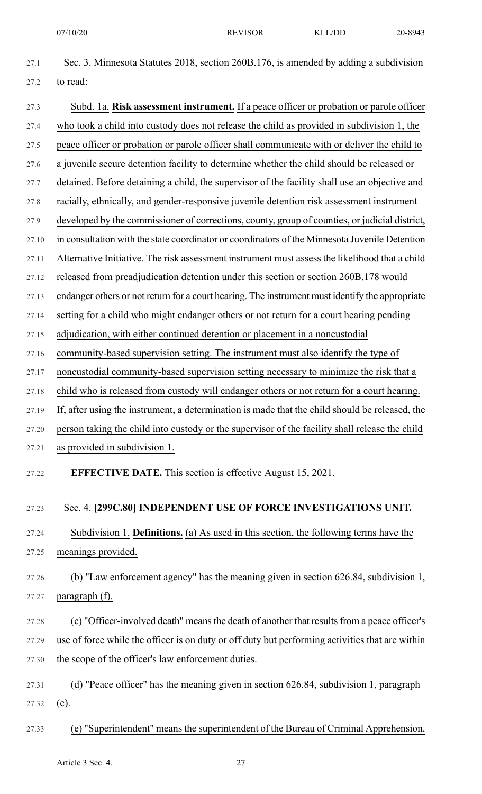| 27.1  | Sec. 3. Minnesota Statutes 2018, section 260B.176, is amended by adding a subdivision           |
|-------|-------------------------------------------------------------------------------------------------|
| 27.2  | to read:                                                                                        |
| 27.3  | Subd. 1a. Risk assessment instrument. If a peace officer or probation or parole officer         |
| 27.4  | who took a child into custody does not release the child as provided in subdivision 1, the      |
| 27.5  | peace officer or probation or parole officer shall communicate with or deliver the child to     |
| 27.6  | a juvenile secure detention facility to determine whether the child should be released or       |
| 27.7  | detained. Before detaining a child, the supervisor of the facility shall use an objective and   |
| 27.8  | racially, ethnically, and gender-responsive juvenile detention risk assessment instrument       |
| 27.9  | developed by the commissioner of corrections, county, group of counties, or judicial district,  |
| 27.10 | in consultation with the state coordinator or coordinators of the Minnesota Juvenile Detention  |
| 27.11 | Alternative Initiative. The risk assessment instrument must assess the likelihood that a child  |
| 27.12 | released from preadjudication detention under this section or section 260B.178 would            |
| 27.13 | endanger others or not return for a court hearing. The instrument must identify the appropriate |
| 27.14 | setting for a child who might endanger others or not return for a court hearing pending         |
| 27.15 | adjudication, with either continued detention or placement in a noncustodial                    |
| 27.16 | community-based supervision setting. The instrument must also identify the type of              |
| 27.17 | noncustodial community-based supervision setting necessary to minimize the risk that a          |
| 27.18 | child who is released from custody will endanger others or not return for a court hearing.      |
| 27.19 | If, after using the instrument, a determination is made that the child should be released, the  |
| 27.20 | person taking the child into custody or the supervisor of the facility shall release the child  |
| 27.21 | as provided in subdivision 1.                                                                   |
| 27.22 | <b>EFFECTIVE DATE.</b> This section is effective August 15, 2021.                               |
| 27.23 | Sec. 4. [299C.80] INDEPENDENT USE OF FORCE INVESTIGATIONS UNIT.                                 |
| 27.24 | Subdivision 1. Definitions. (a) As used in this section, the following terms have the           |
| 27.25 | meanings provided.                                                                              |
| 27.26 | (b) "Law enforcement agency" has the meaning given in section 626.84, subdivision 1,            |
| 27.27 | paragraph (f).                                                                                  |
| 27.28 | (c) "Officer-involved death" means the death of another that results from a peace officer's     |
| 27.29 | use of force while the officer is on duty or off duty but performing activities that are within |
| 27.30 | the scope of the officer's law enforcement duties.                                              |
| 27.31 | (d) "Peace officer" has the meaning given in section 626.84, subdivision 1, paragraph           |
| 27.32 | $(c)$ .                                                                                         |
| 27.33 | (e) "Superintendent" means the superintendent of the Bureau of Criminal Apprehension.           |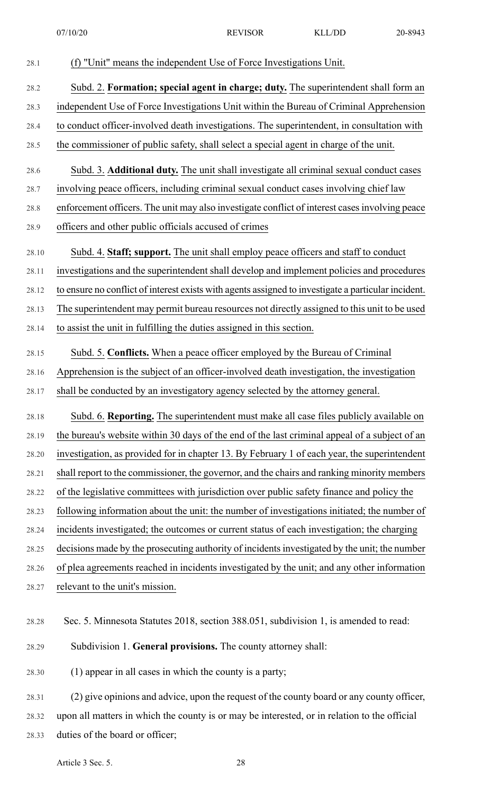| 28.1  | (f) "Unit" means the independent Use of Force Investigations Unit.                                  |
|-------|-----------------------------------------------------------------------------------------------------|
| 28.2  | Subd. 2. Formation; special agent in charge; duty. The superintendent shall form an                 |
| 28.3  | independent Use of Force Investigations Unit within the Bureau of Criminal Apprehension             |
| 28.4  | to conduct officer-involved death investigations. The superintendent, in consultation with          |
| 28.5  | the commissioner of public safety, shall select a special agent in charge of the unit.              |
| 28.6  | Subd. 3. Additional duty. The unit shall investigate all criminal sexual conduct cases              |
| 28.7  | involving peace officers, including criminal sexual conduct cases involving chief law               |
| 28.8  | enforcement officers. The unit may also investigate conflict of interest cases involving peace      |
| 28.9  | officers and other public officials accused of crimes                                               |
| 28.10 | Subd. 4. Staff; support. The unit shall employ peace officers and staff to conduct                  |
| 28.11 | investigations and the superintendent shall develop and implement policies and procedures           |
| 28.12 | to ensure no conflict of interest exists with agents assigned to investigate a particular incident. |
| 28.13 | The superintendent may permit bureau resources not directly assigned to this unit to be used        |
| 28.14 | to assist the unit in fulfilling the duties assigned in this section.                               |
| 28.15 | Subd. 5. Conflicts. When a peace officer employed by the Bureau of Criminal                         |
| 28.16 | Apprehension is the subject of an officer-involved death investigation, the investigation           |
| 28.17 | shall be conducted by an investigatory agency selected by the attorney general.                     |
| 28.18 | Subd. 6. Reporting. The superintendent must make all case files publicly available on               |
| 28.19 | the bureau's website within 30 days of the end of the last criminal appeal of a subject of an       |
| 28.20 | investigation, as provided for in chapter 13. By February 1 of each year, the superintendent        |
| 28.21 | shall report to the commissioner, the governor, and the chairs and ranking minority members         |
| 28.22 | of the legislative committees with jurisdiction over public safety finance and policy the           |
| 28.23 | following information about the unit: the number of investigations initiated; the number of         |
| 28.24 | incidents investigated; the outcomes or current status of each investigation; the charging          |
| 28.25 | decisions made by the prosecuting authority of incidents investigated by the unit; the number       |
| 28.26 | of plea agreements reached in incidents investigated by the unit; and any other information         |
| 28.27 | relevant to the unit's mission.                                                                     |
| 28.28 | Sec. 5. Minnesota Statutes 2018, section 388.051, subdivision 1, is amended to read:                |
| 28.29 | Subdivision 1. General provisions. The county attorney shall:                                       |
| 28.30 | (1) appear in all cases in which the county is a party;                                             |
| 28.31 | (2) give opinions and advice, upon the request of the county board or any county officer,           |
| 28.32 | upon all matters in which the county is or may be interested, or in relation to the official        |

28.33 duties of the board or officer;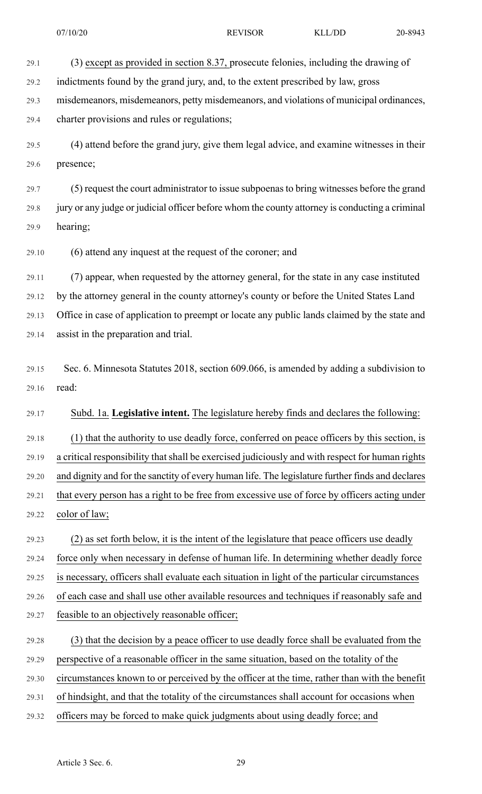29.1 (3) except as provided in section 8.37, prosecute felonies, including the drawing of

29.2 indictments found by the grand jury, and, to the extent prescribed by law, gross

29.3 misdemeanors, misdemeanors, petty misdemeanors, and violations of municipal ordinances,

29.4 charter provisions and rules or regulations;

29.5 (4) attend before the grand jury, give them legal advice, and examine witnesses in their 29.6 presence;

29.7 (5) request the court administrator to issue subpoenasto bring witnesses before the grand 29.8 jury or any judge or judicial officer before whom the county attorney is conducting a criminal 29.9 hearing;

29.10 (6) attend any inquest at the request of the coroner; and

29.11 (7) appear, when requested by the attorney general, for the state in any case instituted 29.12 by the attorney general in the county attorney's county or before the United States Land 29.13 Office in case of application to preempt or locate any public lands claimed by the state and 29.14 assist in the preparation and trial.

29.15 Sec. 6. Minnesota Statutes 2018, section 609.066, is amended by adding a subdivision to 29.16 read:

29.17 Subd. 1a. **Legislative intent.** The legislature hereby finds and declares the following:

29.18 (1) that the authority to use deadly force, conferred on peace officers by this section, is 29.19 a critical responsibility that shall be exercised judiciously and with respect for human rights 29.20 and dignity and for the sanctity of every human life. The legislature further finds and declares 29.21 that every person has a right to be free from excessive use of force by officers acting under 29.22 color of law;

29.23 (2) as set forth below, it is the intent of the legislature that peace officers use deadly

29.24 force only when necessary in defense of human life. In determining whether deadly force

29.25 is necessary, officers shall evaluate each situation in light of the particular circumstances

29.26 of each case and shall use other available resources and techniques if reasonably safe and

- 29.27 feasible to an objectively reasonable officer;
- 29.28 (3) that the decision by a peace officer to use deadly force shall be evaluated from the

29.29 perspective of a reasonable officer in the same situation, based on the totality of the

29.30 circumstances known to or perceived by the officer at the time, rather than with the benefit

29.31 of hindsight, and that the totality of the circumstances shall account for occasions when

29.32 officers may be forced to make quick judgments about using deadly force; and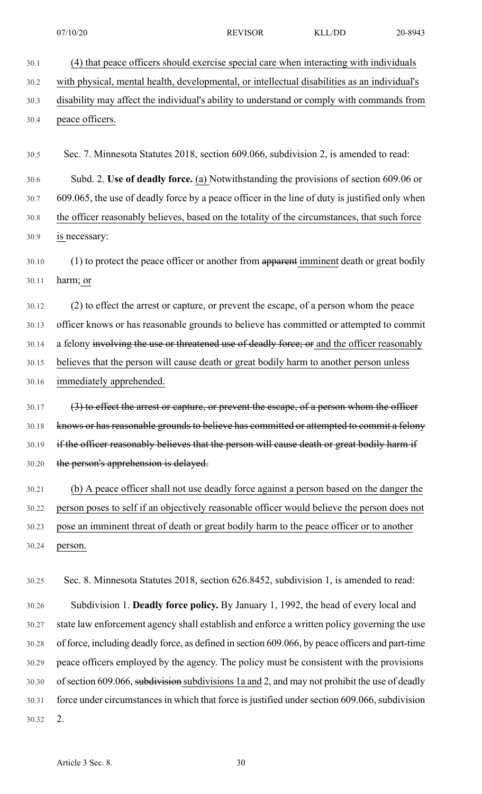30.1 (4) that peace officers should exercise special care when interacting with individuals 30.2 with physical, mental health, developmental, or intellectual disabilities as an individual's 30.3 disability may affect the individual's ability to understand or comply with commands from 30.4 peace officers.

30.5 Sec. 7. Minnesota Statutes 2018, section 609.066, subdivision 2, is amended to read:

30.6 Subd. 2. **Use of deadly force.** (a) Notwithstanding the provisions of section 609.06 or

30.7 609.065, the use of deadly force by a peace officer in the line of duty is justified only when 30.8 the officer reasonably believes, based on the totality of the circumstances, that such force 30.9 is necessary:

30.10 (1) to protect the peace officer or another from apparent imminent death or great bodily 30.11 harm; or

30.12 (2) to effect the arrest or capture, or prevent the escape, of a person whom the peace 30.13 officer knows or has reasonable grounds to believe has committed or attempted to commit 30.14 a felony involving the use or threatened use of deadly force; or and the officer reasonably 30.15 believes that the person will cause death or great bodily harm to another person unless 30.16 immediately apprehended.

30.17 (3) to effect the arrest or capture, or prevent the escape, of a person whom the officer 30.18 knows or has reasonable grounds to believe has committed or attempted to commit a felony 30.19 if the officer reasonably believes that the person will cause death or great bodily harm if 30.20 the person's apprehension is delayed.

30.21 (b) A peace officer shall not use deadly force against a person based on the danger the 30.22 person poses to self if an objectively reasonable officer would believe the person does not 30.23 pose an imminent threat of death or great bodily harm to the peace officer or to another 30.24 person.

30.25 Sec. 8. Minnesota Statutes 2018, section 626.8452, subdivision 1, is amended to read:

30.26 Subdivision 1. **Deadly force policy.** By January 1, 1992, the head of every local and 30.27 state law enforcement agency shall establish and enforce a written policy governing the use 30.28 of force, including deadly force, as defined in section 609.066, by peace officers and part-time 30.29 peace officers employed by the agency. The policy must be consistent with the provisions 30.30 of section 609.066, subdivision subdivisions 1a and 2, and may not prohibit the use of deadly 30.31 force under circumstances in which that force is justified under section 609.066, subdivision 30.32 2.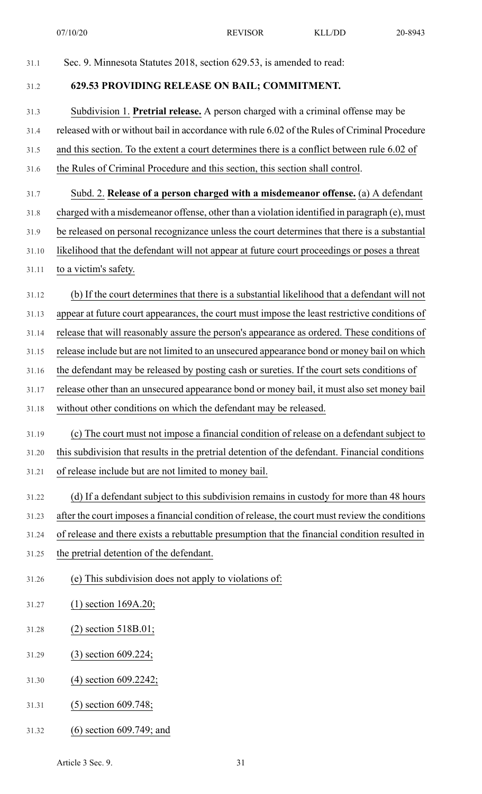07/10/20 REVISOR KLL/DD 20-8943

| 31.1  | Sec. 9. Minnesota Statutes 2018, section 629.53, is amended to read:                           |
|-------|------------------------------------------------------------------------------------------------|
| 31.2  | 629.53 PROVIDING RELEASE ON BAIL; COMMITMENT.                                                  |
| 31.3  | Subdivision 1. Pretrial release. A person charged with a criminal offense may be               |
| 31.4  | released with or without bail in accordance with rule 6.02 of the Rules of Criminal Procedure  |
| 31.5  | and this section. To the extent a court determines there is a conflict between rule 6.02 of    |
| 31.6  | the Rules of Criminal Procedure and this section, this section shall control.                  |
| 31.7  | Subd. 2. Release of a person charged with a misdemeanor offense. (a) A defendant               |
| 31.8  | charged with a misdemeanor offense, other than a violation identified in paragraph (e), must   |
| 31.9  | be released on personal recognizance unless the court determines that there is a substantial   |
| 31.10 | likelihood that the defendant will not appear at future court proceedings or poses a threat    |
| 31.11 | to a victim's safety.                                                                          |
| 31.12 | (b) If the court determines that there is a substantial likelihood that a defendant will not   |
| 31.13 | appear at future court appearances, the court must impose the least restrictive conditions of  |
| 31.14 | release that will reasonably assure the person's appearance as ordered. These conditions of    |
| 31.15 | release include but are not limited to an unsecured appearance bond or money bail on which     |
| 31.16 | the defendant may be released by posting cash or sureties. If the court sets conditions of     |
| 31.17 | release other than an unsecured appearance bond or money bail, it must also set money bail     |
| 31.18 | without other conditions on which the defendant may be released.                               |
| 31.19 | (c) The court must not impose a financial condition of release on a defendant subject to       |
| 31.20 | this subdivision that results in the pretrial detention of the defendant. Financial conditions |
| 31.21 | of release include but are not limited to money bail.                                          |
| 31.22 | (d) If a defendant subject to this subdivision remains in custody for more than 48 hours       |
| 31.23 | after the court imposes a financial condition of release, the court must review the conditions |
| 31.24 | of release and there exists a rebuttable presumption that the financial condition resulted in  |
| 31.25 | the pretrial detention of the defendant.                                                       |
| 31.26 | (e) This subdivision does not apply to violations of:                                          |
| 31.27 | $(1)$ section 169A.20;                                                                         |
| 31.28 | $(2)$ section 518B.01;                                                                         |
| 31.29 | $(3)$ section 609.224;                                                                         |
| 31.30 | $(4)$ section 609.2242;                                                                        |
| 31.31 | $(5)$ section 609.748;                                                                         |
| 31.32 | $(6)$ section 609.749; and                                                                     |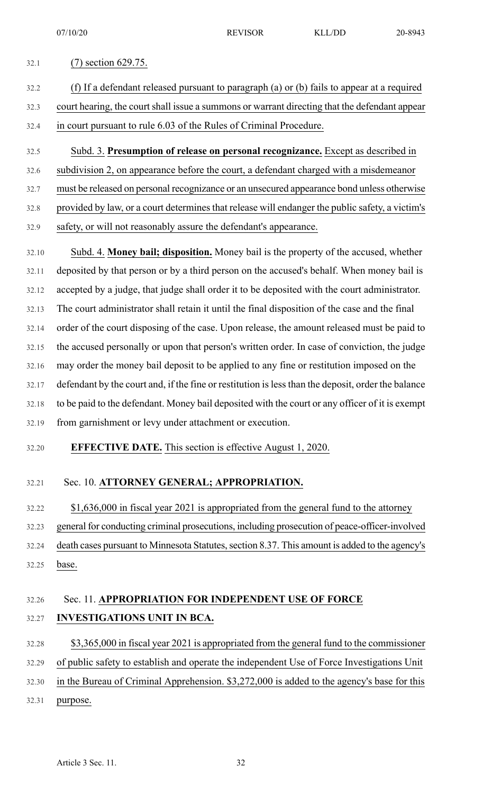## 32.1 (7) section 629.75. 32.2 (f) If a defendant released pursuant to paragraph (a) or (b) fails to appear at a required 32.3 court hearing, the court shall issue a summons or warrant directing that the defendant appear

- 32.4 in court pursuant to rule 6.03 of the Rules of Criminal Procedure.
- 32.5 Subd. 3. **Presumption of release on personal recognizance.** Except as described in
- 32.6 subdivision 2, on appearance before the court, a defendant charged with a misdemeanor
- 32.7 must be released on personal recognizance or an unsecured appearance bond unless otherwise
- 32.8 provided by law, or a court determines that release will endanger the public safety, a victim's
- 32.9 safety, or will not reasonably assure the defendant's appearance.

32.10 Subd. 4. **Money bail; disposition.** Money bail is the property of the accused, whether 32.11 deposited by that person or by a third person on the accused's behalf. When money bail is 32.12 accepted by a judge, that judge shall order it to be deposited with the court administrator. 32.13 The court administrator shall retain it until the final disposition of the case and the final 32.14 order of the court disposing of the case. Upon release, the amount released must be paid to 32.15 the accused personally or upon that person's written order. In case of conviction, the judge 32.16 may order the money bail deposit to be applied to any fine or restitution imposed on the 32.17 defendant by the court and, if the fine or restitution islessthan the deposit, order the balance 32.18 to be paid to the defendant. Money bail deposited with the court or any officer of it is exempt 32.19 from garnishment or levy under attachment or execution.

32.20 **EFFECTIVE DATE.** This section is effective August 1, 2020.

#### 32.21 Sec. 10. **ATTORNEY GENERAL; APPROPRIATION.**

32.22 \$1,636,000 in fiscal year 2021 is appropriated from the general fund to the attorney

32.23 general for conducting criminal prosecutions, including prosecution of peace-officer-involved 32.24 death cases pursuant to Minnesota Statutes, section 8.37. This amount is added to the agency's 32.25 base.

### 32.26 Sec. 11. **APPROPRIATION FOR INDEPENDENT USE OF FORCE** 32.27 **INVESTIGATIONS UNIT IN BCA.**

32.28 \$3,365,000 in fiscal year 2021 is appropriated from the general fund to the commissioner 32.29 of public safety to establish and operate the independent Use of Force Investigations Unit 32.30 in the Bureau of Criminal Apprehension. \$3,272,000 is added to the agency's base for this 32.31 purpose.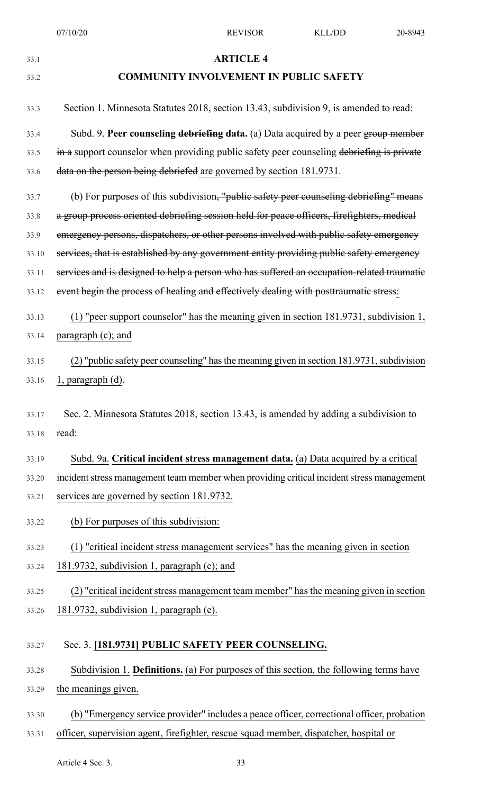| 33.1  | <b>ARTICLE 4</b>                                                                           |
|-------|--------------------------------------------------------------------------------------------|
| 33.2  | <b>COMMUNITY INVOLVEMENT IN PUBLIC SAFETY</b>                                              |
| 33.3  | Section 1. Minnesota Statutes 2018, section 13.43, subdivision 9, is amended to read:      |
| 33.4  | Subd. 9. Peer counseling debriefing data. (a) Data acquired by a peer group member         |
| 33.5  | in a support counselor when providing public safety peer counseling debriefing is private  |
| 33.6  | data on the person being debriefed are governed by section 181.9731.                       |
| 33.7  | (b) For purposes of this subdivision, "public safety peer counseling debriefing" means     |
| 33.8  | a group process oriented debriefing session held for peace officers, firefighters, medical |
| 33.9  | emergency persons, dispatchers, or other persons involved with public safety emergency     |
| 33.10 | services, that is established by any government entity providing public safety emergency   |
| 33.11 | services and is designed to help a person who has suffered an occupation-related traumatie |
| 33.12 | event begin the process of healing and effectively dealing with posttraumatic stress:      |
| 33.13 | (1) "peer support counselor" has the meaning given in section 181.9731, subdivision 1,     |
| 33.14 | paragraph (c); and                                                                         |
| 33.15 | (2) "public safety peer counseling" has the meaning given in section 181.9731, subdivision |
| 33.16 | $l$ , paragraph $(d)$ .                                                                    |
|       |                                                                                            |
| 33.17 | Sec. 2. Minnesota Statutes 2018, section 13.43, is amended by adding a subdivision to      |
| 33.18 | read:                                                                                      |
| 33.19 | Subd. 9a. Critical incident stress management data. (a) Data acquired by a critical        |
| 33.20 | incident stress management team member when providing critical incident stress management  |
| 33.21 | services are governed by section 181.9732.                                                 |
| 33.22 | (b) For purposes of this subdivision:                                                      |
| 33.23 | (1) "critical incident stress management services" has the meaning given in section        |
| 33.24 | 181.9732, subdivision 1, paragraph (c); and                                                |
| 33.25 | (2) "critical incident stress management team member" has the meaning given in section     |
| 33.26 | 181.9732, subdivision 1, paragraph (e).                                                    |
| 33.27 | Sec. 3. [181.9731] PUBLIC SAFETY PEER COUNSELING.                                          |
| 33.28 | Subdivision 1. Definitions. (a) For purposes of this section, the following terms have     |
| 33.29 | the meanings given.                                                                        |

33.30 (b) "Emergency service provider" includes a peace officer, correctional officer, probation 33.31 officer, supervision agent, firefighter, rescue squad member, dispatcher, hospital or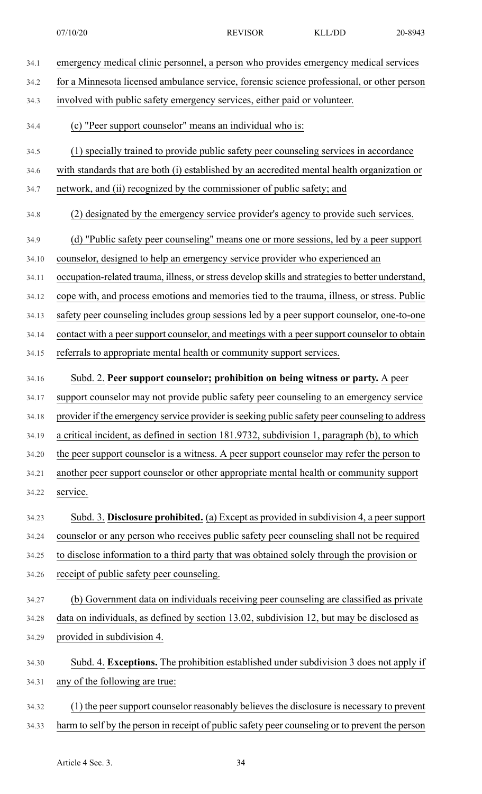| 34.1  | emergency medical clinic personnel, a person who provides emergency medical services              |
|-------|---------------------------------------------------------------------------------------------------|
| 34.2  | for a Minnesota licensed ambulance service, forensic science professional, or other person        |
| 34.3  | involved with public safety emergency services, either paid or volunteer.                         |
| 34.4  | (c) "Peer support counselor" means an individual who is:                                          |
| 34.5  | (1) specially trained to provide public safety peer counseling services in accordance             |
| 34.6  | with standards that are both (i) established by an accredited mental health organization or       |
| 34.7  | network, and (ii) recognized by the commissioner of public safety; and                            |
| 34.8  | (2) designated by the emergency service provider's agency to provide such services.               |
| 34.9  | (d) "Public safety peer counseling" means one or more sessions, led by a peer support             |
| 34.10 | counselor, designed to help an emergency service provider who experienced an                      |
| 34.11 | occupation-related trauma, illness, or stress develop skills and strategies to better understand, |
| 34.12 | cope with, and process emotions and memories tied to the trauma, illness, or stress. Public       |
| 34.13 | safety peer counseling includes group sessions led by a peer support counselor, one-to-one        |
| 34.14 | contact with a peer support counselor, and meetings with a peer support counselor to obtain       |
| 34.15 | referrals to appropriate mental health or community support services.                             |
| 34.16 | Subd. 2. Peer support counselor; prohibition on being witness or party. A peer                    |
| 34.17 | support counselor may not provide public safety peer counseling to an emergency service           |
| 34.18 | provider if the emergency service provider is seeking public safety peer counseling to address    |
| 34.19 | a critical incident, as defined in section 181.9732, subdivision 1, paragraph (b), to which       |
| 34.20 | the peer support counselor is a witness. A peer support counselor may refer the person to         |
| 34.21 | another peer support counselor or other appropriate mental health or community support            |
| 34.22 | service.                                                                                          |
| 34.23 | Subd. 3. Disclosure prohibited. (a) Except as provided in subdivision 4, a peer support           |
| 34.24 | counselor or any person who receives public safety peer counseling shall not be required          |
| 34.25 | to disclose information to a third party that was obtained solely through the provision or        |
| 34.26 | receipt of public safety peer counseling.                                                         |
| 34.27 | (b) Government data on individuals receiving peer counseling are classified as private            |
| 34.28 | data on individuals, as defined by section 13.02, subdivision 12, but may be disclosed as         |
| 34.29 | provided in subdivision 4.                                                                        |
| 34.30 | Subd. 4. Exceptions. The prohibition established under subdivision 3 does not apply if            |
| 34.31 | any of the following are true:                                                                    |
| 34.32 | (1) the peer support counselor reasonably believes the disclosure is necessary to prevent         |
| 34.33 | harm to self by the person in receipt of public safety peer counseling or to prevent the person   |
|       |                                                                                                   |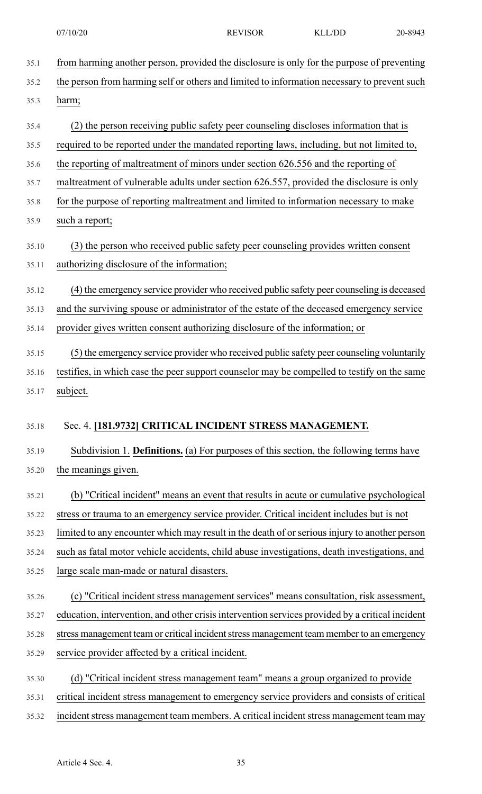| 35.1  | from harming another person, provided the disclosure is only for the purpose of preventing      |
|-------|-------------------------------------------------------------------------------------------------|
| 35.2  | the person from harming self or others and limited to information necessary to prevent such     |
| 35.3  | harm;                                                                                           |
| 35.4  | (2) the person receiving public safety peer counseling discloses information that is            |
| 35.5  | required to be reported under the mandated reporting laws, including, but not limited to,       |
| 35.6  | the reporting of maltreatment of minors under section 626.556 and the reporting of              |
| 35.7  | maltreatment of vulnerable adults under section 626.557, provided the disclosure is only        |
| 35.8  | for the purpose of reporting maltreatment and limited to information necessary to make          |
| 35.9  | such a report;                                                                                  |
| 35.10 | (3) the person who received public safety peer counseling provides written consent              |
| 35.11 | authorizing disclosure of the information;                                                      |
| 35.12 | (4) the emergency service provider who received public safety peer counseling is deceased       |
| 35.13 | and the surviving spouse or administrator of the estate of the deceased emergency service       |
| 35.14 | provider gives written consent authorizing disclosure of the information; or                    |
| 35.15 | (5) the emergency service provider who received public safety peer counseling voluntarily       |
| 35.16 | testifies, in which case the peer support counselor may be compelled to testify on the same     |
| 35.17 | subject.                                                                                        |
| 35.18 | Sec. 4. [181.9732] CRITICAL INCIDENT STRESS MANAGEMENT.                                         |
| 35.19 | Subdivision 1. Definitions. (a) For purposes of this section, the following terms have          |
| 35.20 | the meanings given.                                                                             |
| 35.21 | (b) "Critical incident" means an event that results in acute or cumulative psychological        |
| 35.22 | stress or trauma to an emergency service provider. Critical incident includes but is not        |
| 35.23 | limited to any encounter which may result in the death of or serious injury to another person   |
| 35.24 | such as fatal motor vehicle accidents, child abuse investigations, death investigations, and    |
| 35.25 | large scale man-made or natural disasters.                                                      |
| 35.26 | (c) "Critical incident stress management services" means consultation, risk assessment,         |
| 35.27 | education, intervention, and other crisis intervention services provided by a critical incident |
| 35.28 | stress management team or critical incident stress management team member to an emergency       |
| 35.29 | service provider affected by a critical incident.                                               |
| 35.30 | (d) "Critical incident stress management team" means a group organized to provide               |
| 35.31 | critical incident stress management to emergency service providers and consists of critical     |
| 35.32 | incident stress management team members. A critical incident stress management team may         |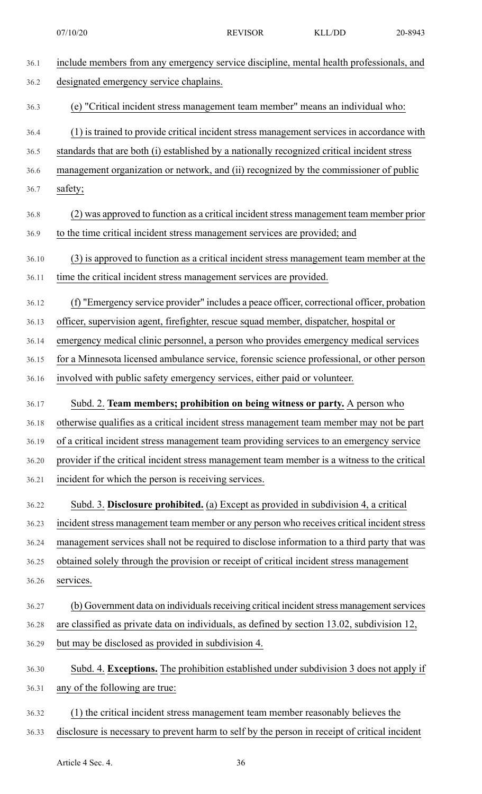| 36.1  | include members from any emergency service discipline, mental health professionals, and      |
|-------|----------------------------------------------------------------------------------------------|
| 36.2  | designated emergency service chaplains.                                                      |
| 36.3  | (e) "Critical incident stress management team member" means an individual who:               |
| 36.4  | (1) is trained to provide critical incident stress management services in accordance with    |
| 36.5  | standards that are both (i) established by a nationally recognized critical incident stress  |
| 36.6  | management organization or network, and (ii) recognized by the commissioner of public        |
| 36.7  | safety;                                                                                      |
| 36.8  | (2) was approved to function as a critical incident stress management team member prior      |
| 36.9  | to the time critical incident stress management services are provided; and                   |
| 36.10 | (3) is approved to function as a critical incident stress management team member at the      |
| 36.11 | time the critical incident stress management services are provided.                          |
| 36.12 | (f) "Emergency service provider" includes a peace officer, correctional officer, probation   |
| 36.13 | officer, supervision agent, firefighter, rescue squad member, dispatcher, hospital or        |
| 36.14 | emergency medical clinic personnel, a person who provides emergency medical services         |
| 36.15 | for a Minnesota licensed ambulance service, forensic science professional, or other person   |
| 36.16 | involved with public safety emergency services, either paid or volunteer.                    |
| 36.17 | Subd. 2. Team members; prohibition on being witness or party. A person who                   |
| 36.18 | otherwise qualifies as a critical incident stress management team member may not be part     |
| 36.19 | of a critical incident stress management team providing services to an emergency service     |
| 36.20 | provider if the critical incident stress management team member is a witness to the critical |
| 36.21 | incident for which the person is receiving services.                                         |
| 36.22 | Subd. 3. Disclosure prohibited. (a) Except as provided in subdivision 4, a critical          |
| 36.23 | incident stress management team member or any person who receives critical incident stress   |
| 36.24 | management services shall not be required to disclose information to a third party that was  |
| 36.25 |                                                                                              |
| 36.26 | obtained solely through the provision or receipt of critical incident stress management      |
|       | services.                                                                                    |
| 36.27 | (b) Government data on individuals receiving critical incident stress management services    |
| 36.28 | are classified as private data on individuals, as defined by section 13.02, subdivision 12,  |
| 36.29 | but may be disclosed as provided in subdivision 4.                                           |
| 36.30 | Subd. 4. Exceptions. The prohibition established under subdivision 3 does not apply if       |
| 36.31 | any of the following are true:                                                               |
| 36.32 | (1) the critical incident stress management team member reasonably believes the              |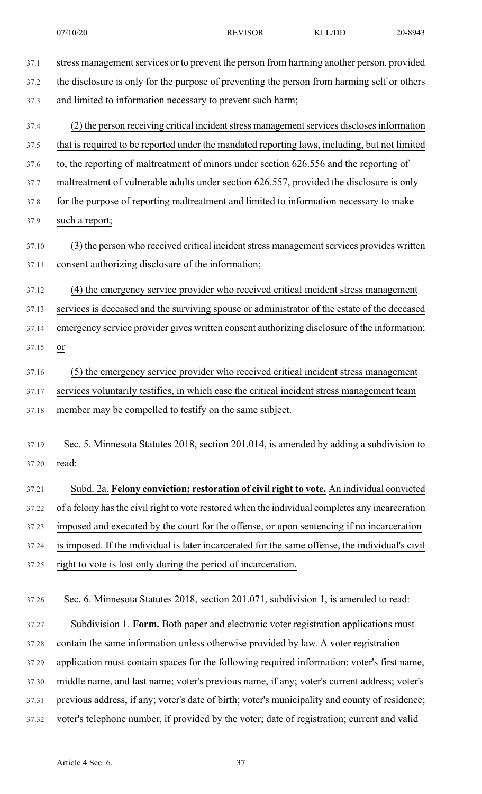| 37.1  | stress management services or to prevent the person from harming another person, provided        |
|-------|--------------------------------------------------------------------------------------------------|
| 37.2  | the disclosure is only for the purpose of preventing the person from harming self or others      |
| 37.3  | and limited to information necessary to prevent such harm;                                       |
| 37.4  | (2) the person receiving critical incident stress management services discloses information      |
| 37.5  | that is required to be reported under the mandated reporting laws, including, but not limited    |
| 37.6  | to, the reporting of maltreatment of minors under section 626.556 and the reporting of           |
| 37.7  | maltreatment of vulnerable adults under section 626.557, provided the disclosure is only         |
| 37.8  | for the purpose of reporting maltreatment and limited to information necessary to make           |
| 37.9  | such a report;                                                                                   |
| 37.10 | (3) the person who received critical incident stress management services provides written        |
| 37.11 | consent authorizing disclosure of the information;                                               |
| 37.12 | (4) the emergency service provider who received critical incident stress management              |
| 37.13 | services is deceased and the surviving spouse or administrator of the estate of the deceased     |
| 37.14 | emergency service provider gives written consent authorizing disclosure of the information;      |
| 37.15 | or                                                                                               |
| 37.16 | (5) the emergency service provider who received critical incident stress management              |
| 37.17 | services voluntarily testifies, in which case the critical incident stress management team       |
| 37.18 | member may be compelled to testify on the same subject.                                          |
|       |                                                                                                  |
| 37.19 | Sec. 5. Minnesota Statutes 2018, section 201.014, is amended by adding a subdivision to          |
| 37.20 | read:                                                                                            |
| 37.21 | Subd. 2a. Felony conviction; restoration of civil right to vote. An individual convicted         |
| 37.22 | of a felony has the civil right to vote restored when the individual completes any incarceration |
| 37.23 | imposed and executed by the court for the offense, or upon sentencing if no incarceration        |
| 37.24 | is imposed. If the individual is later incarcerated for the same offense, the individual's civil |
| 37.25 | right to vote is lost only during the period of incarceration.                                   |
|       |                                                                                                  |
| 37.26 | Sec. 6. Minnesota Statutes 2018, section 201.071, subdivision 1, is amended to read:             |
| 37.27 | Subdivision 1. Form. Both paper and electronic voter registration applications must              |
| 37.28 | contain the same information unless otherwise provided by law. A voter registration              |
| 37.29 | application must contain spaces for the following required information: voter's first name,      |

37.30 middle name, and last name; voter's previous name, if any; voter's current address; voter's

- 37.31 previous address, if any; voter's date of birth; voter's municipality and county of residence;
- 37.32 voter's telephone number, if provided by the voter; date of registration; current and valid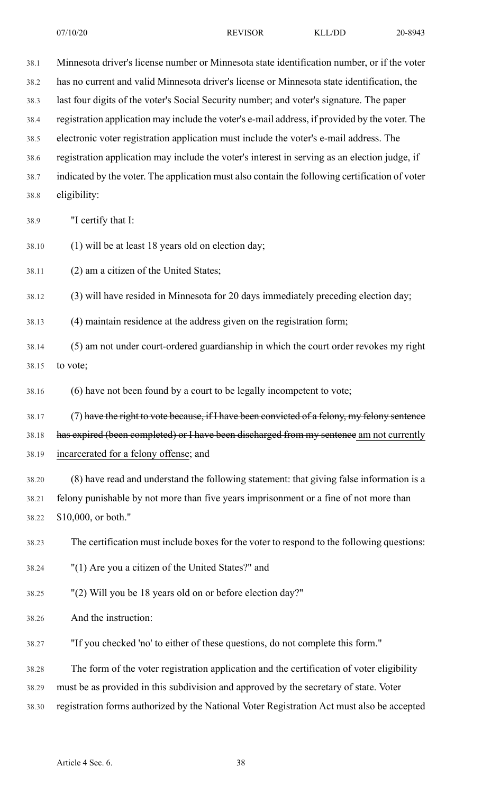38.4 registration application may include the voter's e-mail address, if provided by the voter. The

38.5 electronic voter registration application must include the voter's e-mail address. The

- 38.6 registration application may include the voter's interest in serving as an election judge, if
- 38.7 indicated by the voter. The application must also contain the following certification of voter 38.8 eligibility:
- 38.9 "I certify that I:
- 38.10 (1) will be at least 18 years old on election day;

38.11 (2) am a citizen of the United States;

38.12 (3) will have resided in Minnesota for 20 days immediately preceding election day;

38.13 (4) maintain residence at the address given on the registration form;

38.14 (5) am not under court-ordered guardianship in which the court order revokes my right 38.15 to vote;

38.16 (6) have not been found by a court to be legally incompetent to vote;

38.17 (7) have the right to vote because, if I have been convicted of a felony, my felony sentence

38.18 has expired (been completed) or I have been discharged from my sentence am not currently

- 38.19 incarcerated for a felony offense; and
- 38.20 (8) have read and understand the following statement: that giving false information is a 38.21 felony punishable by not more than five years imprisonment or a fine of not more than 38.22 \$10,000, or both."

38.23 The certification must include boxes for the voter to respond to the following questions:

- 38.24 "(1) Are you a citizen of the United States?" and
- 38.25 "(2) Will you be 18 years old on or before election day?"
- 38.26 And the instruction:

38.27 "If you checked 'no' to either of these questions, do not complete this form."

38.28 The form of the voter registration application and the certification of voter eligibility

38.29 must be as provided in this subdivision and approved by the secretary of state. Voter

38.30 registration forms authorized by the National Voter Registration Act must also be accepted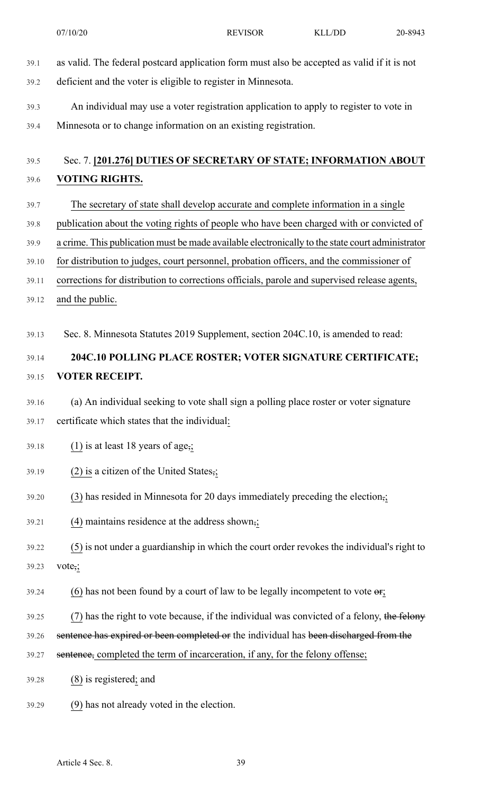- 39.1 as valid. The federal postcard application form must also be accepted as valid if it is not 39.2 deficient and the voter is eligible to register in Minnesota.
- 39.3 An individual may use a voter registration application to apply to register to vote in 39.4 Minnesota or to change information on an existing registration.

### 39.5 Sec. 7. **[201.276] DUTIES OF SECRETARY OF STATE; INFORMATION ABOUT** 39.6 **VOTING RIGHTS.**

- 39.7 The secretary of state shall develop accurate and complete information in a single 39.8 publication about the voting rights of people who have been charged with or convicted of 39.9 a crime. This publication must be made available electronically to the state court administrator 39.10 for distribution to judges, court personnel, probation officers, and the commissioner of 39.11 corrections for distribution to corrections officials, parole and supervised release agents,
- 39.12 and the public.
- 39.13 Sec. 8. Minnesota Statutes 2019 Supplement, section 204C.10, is amended to read:

### 39.14 **204C.10 POLLING PLACE ROSTER; VOTER SIGNATURE CERTIFICATE;** 39.15 **VOTER RECEIPT.**

- 39.16 (a) An individual seeking to vote shall sign a polling place roster or voter signature 39.17 certificate which states that the individual:
- 39.18 (1) is at least 18 years of age,;
- 39.19 (2) is a citizen of the United States,;
- 39.20 (3) has resided in Minnesota for 20 days immediately preceding the election,;
- 39.21 (4) maintains residence at the address shown,;
- 39.22 (5) is not under a guardianship in which the court order revokes the individual's right to 39.23 vote,;
- $39.24$  (6) has not been found by a court of law to be legally incompetent to vote  $\theta$ ;
- 39.25 (7) has the right to vote because, if the individual was convicted of a felony, the felony
- 39.26 sentence has expired or been completed or the individual has been discharged from the
- 39.27 sentence, completed the term of incarceration, if any, for the felony offense;
- 39.28 (8) is registered; and
- 39.29 (9) has not already voted in the election.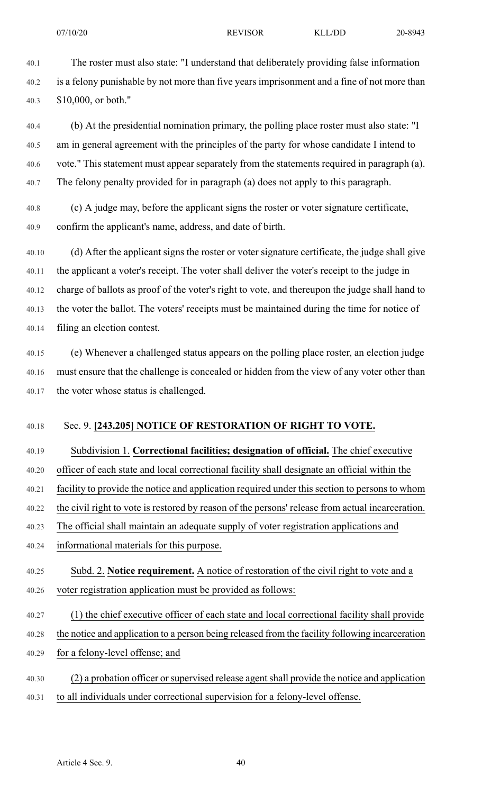40.1 The roster must also state: "I understand that deliberately providing false information 40.2 is a felony punishable by not more than five years imprisonment and a fine of not more than 40.3 \$10,000, or both."

40.4 (b) At the presidential nomination primary, the polling place roster must also state: "I 40.5 am in general agreement with the principles of the party for whose candidate I intend to 40.6 vote." This statement must appear separately from the statements required in paragraph (a). 40.7 The felony penalty provided for in paragraph (a) does not apply to this paragraph.

40.8 (c) A judge may, before the applicant signs the roster or voter signature certificate, 40.9 confirm the applicant's name, address, and date of birth.

40.10 (d) After the applicant signs the roster or voter signature certificate, the judge shall give 40.11 the applicant a voter's receipt. The voter shall deliver the voter's receipt to the judge in 40.12 charge of ballots as proof of the voter's right to vote, and thereupon the judge shall hand to 40.13 the voter the ballot. The voters' receipts must be maintained during the time for notice of 40.14 filing an election contest.

40.15 (e) Whenever a challenged status appears on the polling place roster, an election judge 40.16 must ensure that the challenge is concealed or hidden from the view of any voter other than 40.17 the voter whose status is challenged.

#### 40.18 Sec. 9. **[243.205] NOTICE OF RESTORATION OF RIGHT TO VOTE.**

40.19 Subdivision 1. **Correctional facilities; designation of official.** The chief executive

40.20 officer of each state and local correctional facility shall designate an official within the

40.21 facility to provide the notice and application required under this section to persons to whom

40.22 the civil right to vote is restored by reason of the persons' release from actual incarceration.

40.23 The official shall maintain an adequate supply of voter registration applications and

- 40.24 informational materials for this purpose.
- 40.25 Subd. 2. **Notice requirement.** A notice of restoration of the civil right to vote and a 40.26 voter registration application must be provided as follows:
- 40.27 (1) the chief executive officer of each state and local correctional facility shall provide
- 40.28 the notice and application to a person being released from the facility following incarceration
- 40.29 for a felony-level offense; and
- 40.30 (2) a probation officer orsupervised release agentshall provide the notice and application 40.31 to all individuals under correctional supervision for a felony-level offense.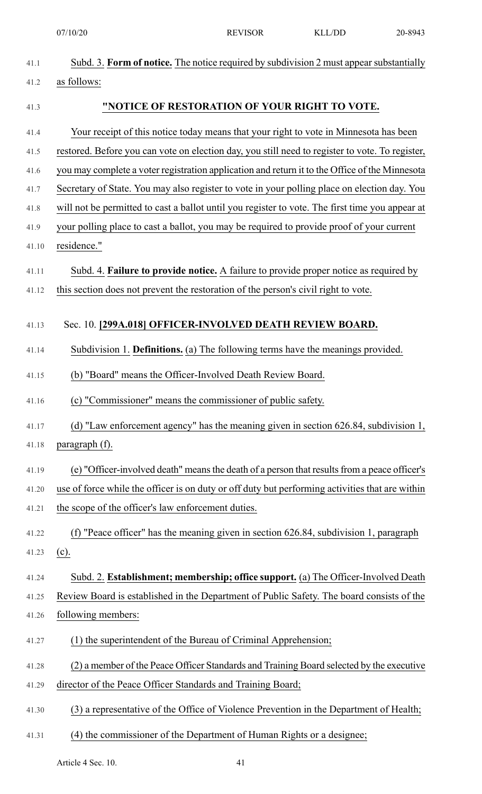|       | 07/10/20                                                                                        | <b>REVISOR</b> | <b>KLL/DD</b> | 20-8943 |
|-------|-------------------------------------------------------------------------------------------------|----------------|---------------|---------|
| 41.1  | Subd. 3. Form of notice. The notice required by subdivision 2 must appear substantially         |                |               |         |
| 41.2  | as follows:                                                                                     |                |               |         |
| 41.3  | "NOTICE OF RESTORATION OF YOUR RIGHT TO VOTE.                                                   |                |               |         |
| 41.4  | Your receipt of this notice today means that your right to vote in Minnesota has been           |                |               |         |
| 41.5  | restored. Before you can vote on election day, you still need to register to vote. To register, |                |               |         |
| 41.6  | you may complete a voter registration application and return it to the Office of the Minnesota  |                |               |         |
| 41.7  | Secretary of State. You may also register to vote in your polling place on election day. You    |                |               |         |
| 41.8  | will not be permitted to cast a ballot until you register to vote. The first time you appear at |                |               |         |
| 41.9  | your polling place to cast a ballot, you may be required to provide proof of your current       |                |               |         |
| 41.10 | residence."                                                                                     |                |               |         |
| 41.11 | Subd. 4. <b>Failure to provide notice.</b> A failure to provide proper notice as required by    |                |               |         |
| 41.12 | this section does not prevent the restoration of the person's civil right to vote.              |                |               |         |
| 41.13 | Sec. 10. [299A.018] OFFICER-INVOLVED DEATH REVIEW BOARD.                                        |                |               |         |
| 41.14 | Subdivision 1. Definitions. (a) The following terms have the meanings provided.                 |                |               |         |
| 41.15 | (b) "Board" means the Officer-Involved Death Review Board.                                      |                |               |         |
|       |                                                                                                 |                |               |         |
| 41.16 | (c) "Commissioner" means the commissioner of public safety.                                     |                |               |         |
| 41.17 | (d) "Law enforcement agency" has the meaning given in section 626.84, subdivision 1,            |                |               |         |
| 41.18 | paragraph (f).                                                                                  |                |               |         |
| 41.19 | (e) "Officer-involved death" means the death of a person that results from a peace officer's    |                |               |         |
| 41.20 | use of force while the officer is on duty or off duty but performing activities that are within |                |               |         |
| 41.21 | the scope of the officer's law enforcement duties.                                              |                |               |         |
| 41.22 | "Peace officer" has the meaning given in section 626.84, subdivision 1, paragraph<br>(f)        |                |               |         |
| 41.23 | $(c)$ .                                                                                         |                |               |         |
| 41.24 | Subd. 2. Establishment; membership; office support. (a) The Officer-Involved Death              |                |               |         |
| 41.25 | Review Board is established in the Department of Public Safety. The board consists of the       |                |               |         |
| 41.26 | following members:                                                                              |                |               |         |
| 41.27 | (1) the superintendent of the Bureau of Criminal Apprehension;                                  |                |               |         |
| 41.28 | (2) a member of the Peace Officer Standards and Training Board selected by the executive        |                |               |         |
| 41.29 | director of the Peace Officer Standards and Training Board;                                     |                |               |         |
| 41.30 | (3) a representative of the Office of Violence Prevention in the Department of Health;          |                |               |         |
| 41.31 | (4) the commissioner of the Department of Human Rights or a designee;                           |                |               |         |
|       |                                                                                                 |                |               |         |

Article 4 Sec. 10. 41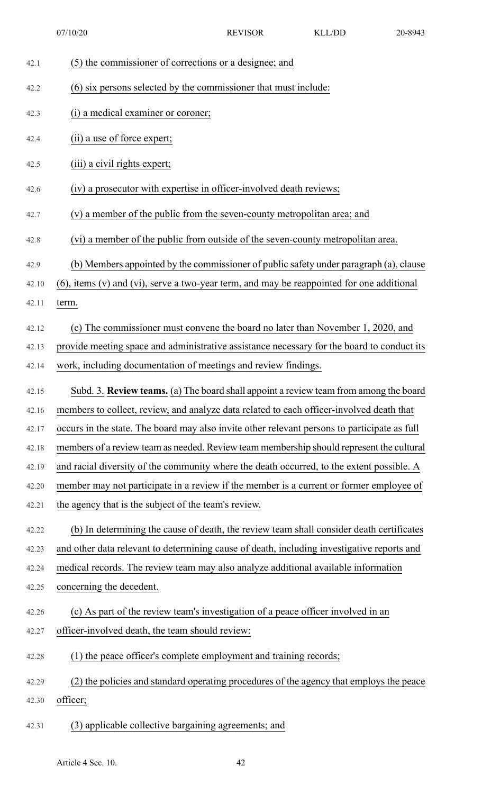07/10/20 REVISOR KLL/DD 20-8943

| 42.1  | (5) the commissioner of corrections or a designee; and                                            |
|-------|---------------------------------------------------------------------------------------------------|
| 42.2  | (6) six persons selected by the commissioner that must include:                                   |
| 42.3  | (i) a medical examiner or coroner;                                                                |
| 42.4  | (ii) a use of force expert;                                                                       |
| 42.5  | (iii) a civil rights expert;                                                                      |
| 42.6  | (iv) a prosecutor with expertise in officer-involved death reviews;                               |
| 42.7  | (v) a member of the public from the seven-county metropolitan area; and                           |
| 42.8  | (vi) a member of the public from outside of the seven-county metropolitan area.                   |
| 42.9  | (b) Members appointed by the commissioner of public safety under paragraph (a), clause            |
| 42.10 | $(6)$ , items $(v)$ and $(vi)$ , serve a two-year term, and may be reappointed for one additional |
| 42.11 | term.                                                                                             |
| 42.12 | (c) The commissioner must convene the board no later than November 1, 2020, and                   |
| 42.13 | provide meeting space and administrative assistance necessary for the board to conduct its        |
| 42.14 | work, including documentation of meetings and review findings.                                    |
| 42.15 | Subd. 3. Review teams. (a) The board shall appoint a review team from among the board             |
| 42.16 | members to collect, review, and analyze data related to each officer-involved death that          |
| 42.17 | occurs in the state. The board may also invite other relevant persons to participate as full      |
| 42.18 | members of a review team as needed. Review team membership should represent the cultural          |
| 42.19 | and racial diversity of the community where the death occurred, to the extent possible. A         |
| 42.20 | member may not participate in a review if the member is a current or former employee of           |
| 42.21 | the agency that is the subject of the team's review.                                              |
| 42.22 | (b) In determining the cause of death, the review team shall consider death certificates          |
| 42.23 | and other data relevant to determining cause of death, including investigative reports and        |
| 42.24 | medical records. The review team may also analyze additional available information                |
| 42.25 | concerning the decedent.                                                                          |
| 42.26 | (c) As part of the review team's investigation of a peace officer involved in an                  |
| 42.27 | officer-involved death, the team should review:                                                   |
| 42.28 | (1) the peace officer's complete employment and training records;                                 |
| 42.29 | (2) the policies and standard operating procedures of the agency that employs the peace           |
| 42.30 | officer;                                                                                          |
| 42.31 | (3) applicable collective bargaining agreements; and                                              |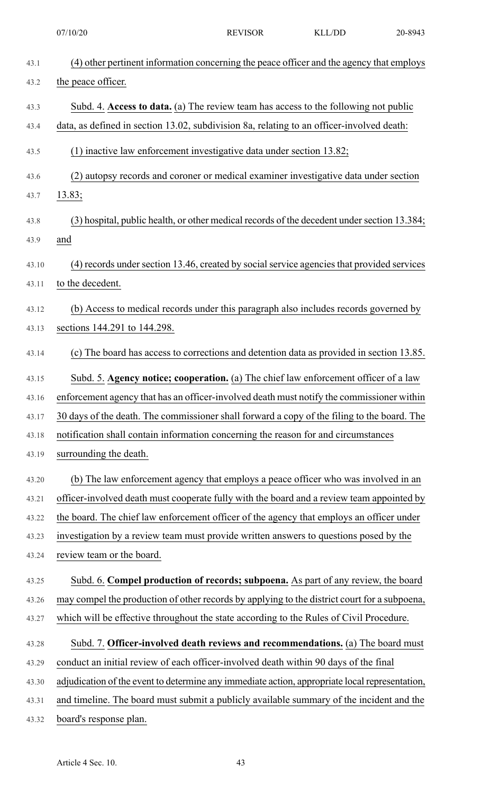| 07/10/20 |
|----------|
|----------|

| 43.1         | (4) other pertinent information concerning the peace officer and the agency that employs           |
|--------------|----------------------------------------------------------------------------------------------------|
| 43.2         | the peace officer.                                                                                 |
| 43.3         | Subd. 4. Access to data. (a) The review team has access to the following not public                |
| 43.4         | data, as defined in section 13.02, subdivision 8a, relating to an officer-involved death:          |
| 43.5         | (1) inactive law enforcement investigative data under section 13.82;                               |
| 43.6         | (2) autopsy records and coroner or medical examiner investigative data under section               |
| 43.7         | 13.83;                                                                                             |
| 43.8<br>43.9 | (3) hospital, public health, or other medical records of the decedent under section 13.384;<br>and |
| 43.10        | (4) records under section 13.46, created by social service agencies that provided services         |
| 43.11        | to the decedent.                                                                                   |
| 43.12        | (b) Access to medical records under this paragraph also includes records governed by               |
| 43.13        | sections 144.291 to 144.298.                                                                       |
| 43.14        | (c) The board has access to corrections and detention data as provided in section 13.85.           |
| 43.15        | Subd. 5. Agency notice; cooperation. (a) The chief law enforcement officer of a law                |
| 43.16        | enforcement agency that has an officer-involved death must notify the commissioner within          |
| 43.17        | 30 days of the death. The commissioner shall forward a copy of the filing to the board. The        |
| 43.18        | notification shall contain information concerning the reason for and circumstances                 |
| 43.19        | surrounding the death.                                                                             |
| 43.20        | (b) The law enforcement agency that employs a peace officer who was involved in an                 |
| 43.21        | officer-involved death must cooperate fully with the board and a review team appointed by          |
| 43.22        | the board. The chief law enforcement officer of the agency that employs an officer under           |
| 43.23        | investigation by a review team must provide written answers to questions posed by the              |
| 43.24        | review team or the board.                                                                          |
| 43.25        | Subd. 6. Compel production of records; subpoena. As part of any review, the board                  |
| 43.26        | may compel the production of other records by applying to the district court for a subpoena,       |
| 43.27        | which will be effective throughout the state according to the Rules of Civil Procedure.            |
| 43.28        | Subd. 7. Officer-involved death reviews and recommendations. (a) The board must                    |
| 43.29        | conduct an initial review of each officer-involved death within 90 days of the final               |
| 43.30        | adjudication of the event to determine any immediate action, appropriate local representation,     |
| 43.31        | and timeline. The board must submit a publicly available summary of the incident and the           |
| 43.32        | board's response plan.                                                                             |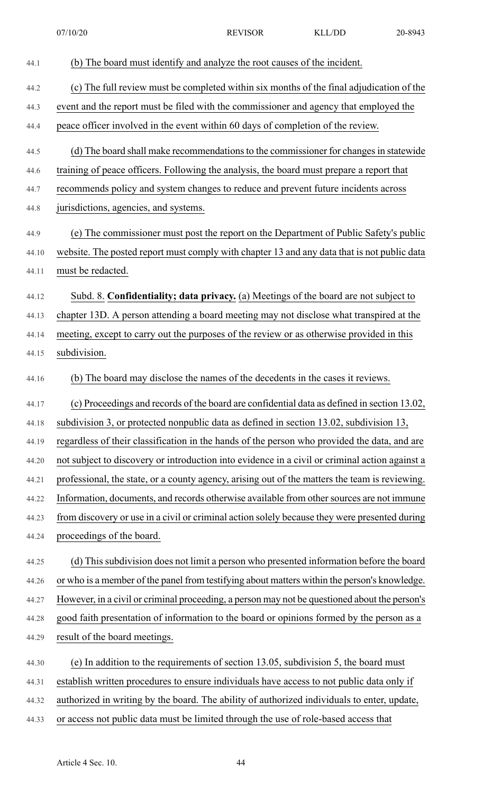| 44.1  | (b) The board must identify and analyze the root causes of the incident.                       |
|-------|------------------------------------------------------------------------------------------------|
| 44.2  | (c) The full review must be completed within six months of the final adjudication of the       |
| 44.3  | event and the report must be filed with the commissioner and agency that employed the          |
| 44.4  | peace officer involved in the event within 60 days of completion of the review.                |
| 44.5  | (d) The board shall make recommendations to the commissioner for changes in statewide          |
| 44.6  | training of peace officers. Following the analysis, the board must prepare a report that       |
| 44.7  | recommends policy and system changes to reduce and prevent future incidents across             |
| 44.8  | jurisdictions, agencies, and systems.                                                          |
| 44.9  | (e) The commissioner must post the report on the Department of Public Safety's public          |
| 44.10 | website. The posted report must comply with chapter 13 and any data that is not public data    |
| 44.11 | must be redacted.                                                                              |
|       |                                                                                                |
| 44.12 | Subd. 8. Confidentiality; data privacy. (a) Meetings of the board are not subject to           |
| 44.13 | chapter 13D. A person attending a board meeting may not disclose what transpired at the        |
| 44.14 | meeting, except to carry out the purposes of the review or as otherwise provided in this       |
| 44.15 | subdivision.                                                                                   |
| 44.16 | (b) The board may disclose the names of the decedents in the cases it reviews.                 |
| 44.17 | (c) Proceedings and records of the board are confidential data as defined in section 13.02,    |
| 44.18 | subdivision 3, or protected nonpublic data as defined in section 13.02, subdivision 13,        |
| 44.19 | regardless of their classification in the hands of the person who provided the data, and are   |
| 44.20 | not subject to discovery or introduction into evidence in a civil or criminal action against a |
| 44.21 | professional, the state, or a county agency, arising out of the matters the team is reviewing. |
| 44.22 | Information, documents, and records otherwise available from other sources are not immune      |
| 44.23 | from discovery or use in a civil or criminal action solely because they were presented during  |
| 44.24 | proceedings of the board.                                                                      |
| 44.25 | (d) This subdivision does not limit a person who presented information before the board        |
| 44.26 | or who is a member of the panel from testifying about matters within the person's knowledge.   |
| 44.27 | However, in a civil or criminal proceeding, a person may not be questioned about the person's  |
| 44.28 | good faith presentation of information to the board or opinions formed by the person as a      |
| 44.29 | result of the board meetings.                                                                  |
| 44.30 | (e) In addition to the requirements of section 13.05, subdivision 5, the board must            |
| 44.31 | establish written procedures to ensure individuals have access to not public data only if      |
| 44.32 | authorized in writing by the board. The ability of authorized individuals to enter, update,    |
| 44.33 | or access not public data must be limited through the use of role-based access that            |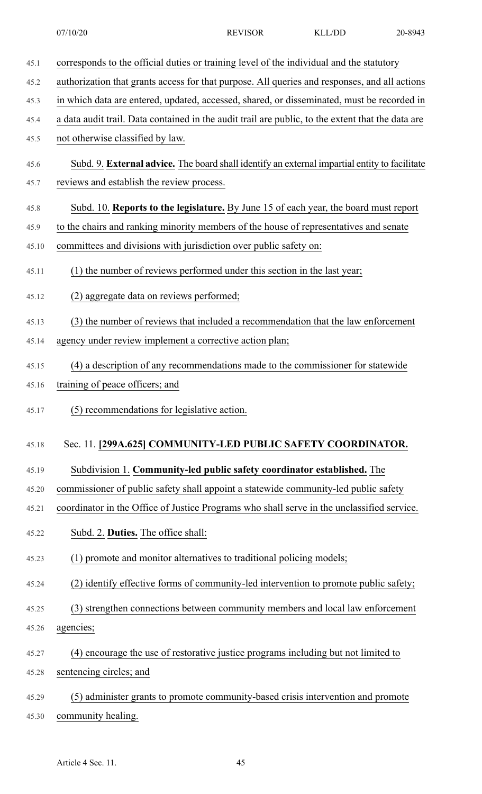45.1 corresponds to the official duties or training level of the individual and the statutory 45.2 authorization that grants access for that purpose. All queries and responses, and all actions 45.3 in which data are entered, updated, accessed, shared, or disseminated, must be recorded in 45.4 a data audit trail. Data contained in the audit trail are public, to the extent that the data are 45.5 not otherwise classified by law. 45.6 Subd. 9. **External advice.** The board shall identify an external impartial entity to facilitate 45.7 reviews and establish the review process. 45.8 Subd. 10. **Reports to the legislature.** By June 15 of each year, the board must report 45.9 to the chairs and ranking minority members of the house of representatives and senate 45.10 committees and divisions with jurisdiction over public safety on: 45.11 (1) the number of reviews performed under this section in the last year; 45.12 (2) aggregate data on reviews performed; 45.13 (3) the number of reviews that included a recommendation that the law enforcement 45.14 agency under review implement a corrective action plan; 45.15 (4) a description of any recommendations made to the commissioner for statewide 45.16 training of peace officers; and 45.17 (5) recommendations for legislative action. 45.18 Sec. 11. **[299A.625] COMMUNITY-LED PUBLIC SAFETY COORDINATOR.** 45.19 Subdivision 1. **Community-led public safety coordinator established.** The 45.20 commissioner of public safety shall appoint a statewide community-led public safety 45.21 coordinator in the Office of Justice Programs who shall serve in the unclassified service. 45.22 Subd. 2. **Duties.** The office shall: 45.23 (1) promote and monitor alternatives to traditional policing models; 45.24 (2) identify effective forms of community-led intervention to promote public safety; 45.25 (3) strengthen connections between community members and local law enforcement 45.26 agencies; 45.27 (4) encourage the use of restorative justice programs including but not limited to 45.28 sentencing circles; and 45.29 (5) administer grants to promote community-based crisis intervention and promote 45.30 community healing.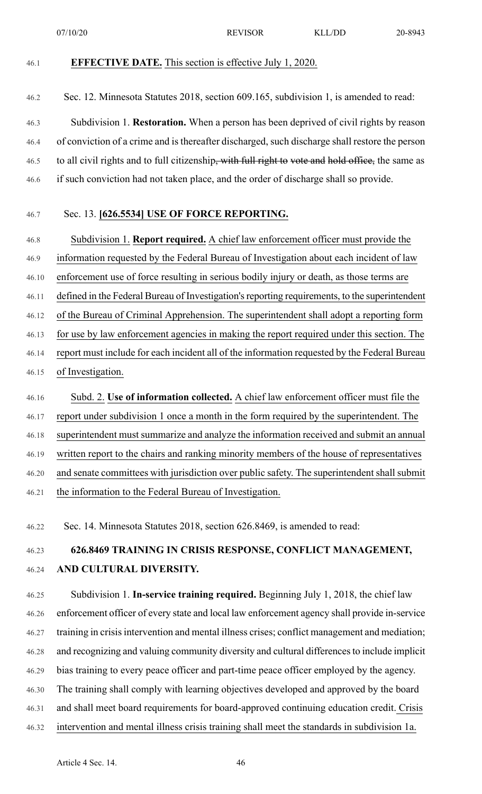07/10/20 REVISOR KLL/DD 20-8943

46.1 **EFFECTIVE DATE.** This section is effective July 1, 2020.

46.2 Sec. 12. Minnesota Statutes 2018, section 609.165, subdivision 1, is amended to read:

46.3 Subdivision 1. **Restoration.** When a person has been deprived of civil rights by reason 46.4 of conviction of a crime and is thereafter discharged, such discharge shall restore the person 46.5 to all civil rights and to full citizenship, with full right to vote and hold office, the same as 46.6 if such conviction had not taken place, and the order of discharge shall so provide.

#### 46.7 Sec. 13. **[626.5534] USE OF FORCE REPORTING.**

46.8 Subdivision 1. **Report required.** A chief law enforcement officer must provide the 46.9 information requested by the Federal Bureau of Investigation about each incident of law 46.10 enforcement use of force resulting in serious bodily injury or death, as those terms are 46.11 defined in the Federal Bureau of Investigation's reporting requirements, to the superintendent 46.12 of the Bureau of Criminal Apprehension. The superintendent shall adopt a reporting form 46.13 for use by law enforcement agencies in making the report required under this section. The 46.14 report must include for each incident all of the information requested by the Federal Bureau 46.15 of Investigation.

46.16 Subd. 2. **Use of information collected.** A chief law enforcement officer must file the 46.17 report under subdivision 1 once a month in the form required by the superintendent. The 46.18 superintendent must summarize and analyze the information received and submit an annual 46.19 written report to the chairs and ranking minority members of the house of representatives 46.20 and senate committees with jurisdiction over public safety. The superintendent shall submit 46.21 the information to the Federal Bureau of Investigation.

46.22 Sec. 14. Minnesota Statutes 2018, section 626.8469, is amended to read:

### 46.23 **626.8469 TRAINING IN CRISIS RESPONSE, CONFLICT MANAGEMENT,** 46.24 **AND CULTURAL DIVERSITY.**

46.25 Subdivision 1. **In-service training required.** Beginning July 1, 2018, the chief law 46.26 enforcement officer of every state and local law enforcement agency shall provide in-service 46.27 training in crisis intervention and mental illness crises; conflict management and mediation; 46.28 and recognizing and valuing community diversity and cultural differencesto include implicit 46.29 bias training to every peace officer and part-time peace officer employed by the agency. 46.30 The training shall comply with learning objectives developed and approved by the board 46.31 and shall meet board requirements for board-approved continuing education credit. Crisis 46.32 intervention and mental illness crisis training shall meet the standards in subdivision 1a.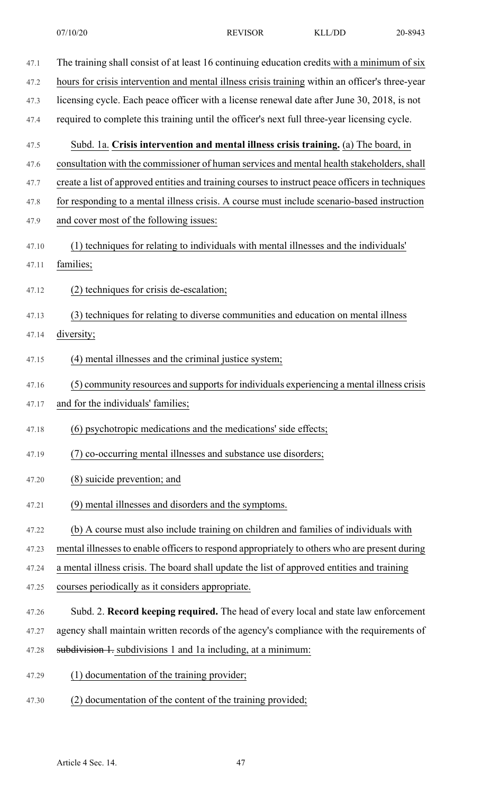- 47.1 The training shall consist of at least 16 continuing education credits with a minimum of six 47.2 hours for crisis intervention and mental illness crisis training within an officer's three-year 47.3 licensing cycle. Each peace officer with a license renewal date after June 30, 2018, is not 47.4 required to complete this training until the officer's next full three-year licensing cycle. 47.5 Subd. 1a. **Crisis intervention and mental illness crisis training.** (a) The board, in 47.6 consultation with the commissioner of human services and mental health stakeholders, shall 47.7 create a list of approved entities and training courses to instruct peace officers in techniques 47.8 for responding to a mental illness crisis. A course must include scenario-based instruction 47.9 and cover most of the following issues: 47.10 (1) techniques for relating to individuals with mental illnesses and the individuals' 47.11 families; 47.12 (2) techniques for crisis de-escalation; 47.13 (3) techniques for relating to diverse communities and education on mental illness 47.14 diversity; 47.15 (4) mental illnesses and the criminal justice system; 47.16 (5) community resources and supports for individuals experiencing a mental illness crisis 47.17 and for the individuals' families; 47.18 (6) psychotropic medications and the medications' side effects; 47.19 (7) co-occurring mental illnesses and substance use disorders; 47.20 (8) suicide prevention; and 47.21 (9) mental illnesses and disorders and the symptoms. 47.22 (b) A course must also include training on children and families of individuals with 47.23 mental illnesses to enable officers to respond appropriately to others who are present during 47.24 a mental illness crisis. The board shall update the list of approved entities and training 47.25 courses periodically as it considers appropriate. 47.26 Subd. 2. **Record keeping required.** The head of every local and state law enforcement 47.27 agency shall maintain written records of the agency's compliance with the requirements of
- 47.28 subdivision 1. subdivisions 1 and 1a including, at a minimum:
- 47.29 (1) documentation of the training provider;
- 47.30 (2) documentation of the content of the training provided;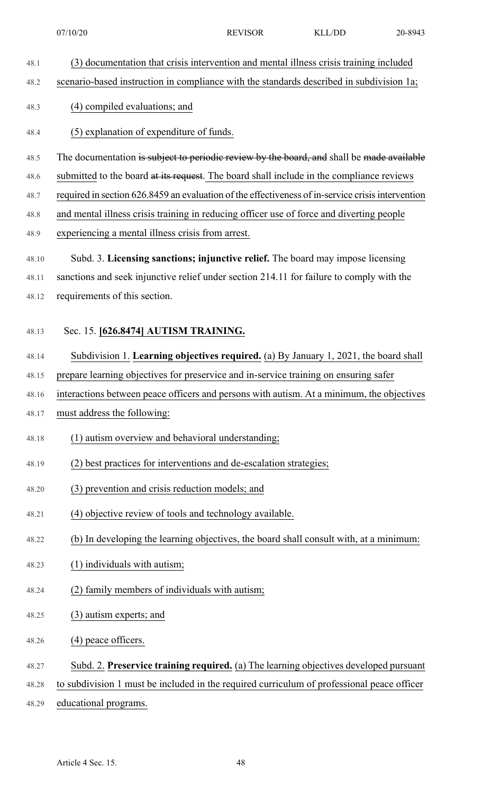- 48.1 (3) documentation that crisis intervention and mental illness crisis training included
- 48.2 scenario-based instruction in compliance with the standards described in subdivision 1a;

#### 48.3 (4) compiled evaluations; and

#### 48.4 (5) explanation of expenditure of funds.

- 48.5 The documentation is subject to periodic review by the board, and shall be made available
- 48.6 submitted to the board at its request. The board shall include in the compliance reviews
- 48.7 required in section 626.8459 an evaluation of the effectiveness of in-service crisisintervention
- 48.8 and mental illness crisis training in reducing officer use of force and diverting people
- 48.9 experiencing a mental illness crisis from arrest.
- 48.10 Subd. 3. **Licensing sanctions; injunctive relief.** The board may impose licensing
- 48.11 sanctions and seek injunctive relief under section 214.11 for failure to comply with the 48.12 requirements of this section.

#### 48.13 Sec. 15. **[626.8474] AUTISM TRAINING.**

- 48.14 Subdivision 1. **Learning objectives required.** (a) By January 1, 2021, the board shall
- 48.15 prepare learning objectives for preservice and in-service training on ensuring safer
- 48.16 interactions between peace officers and persons with autism. At a minimum, the objectives
- 48.17 must address the following:
- 48.18 (1) autism overview and behavioral understanding;
- 48.19 (2) best practices for interventions and de-escalation strategies;
- 48.20 (3) prevention and crisis reduction models; and
- 48.21 (4) objective review of tools and technology available.
- 48.22 (b) In developing the learning objectives, the board shall consult with, at a minimum:
- 48.23 (1) individuals with autism;
- 48.24 (2) family members of individuals with autism;
- 48.25 (3) autism experts; and
- 48.26 (4) peace officers.
- 48.27 Subd. 2. **Preservice training required.** (a) The learning objectives developed pursuant
- 48.28 to subdivision 1 must be included in the required curriculum of professional peace officer
- 48.29 educational programs.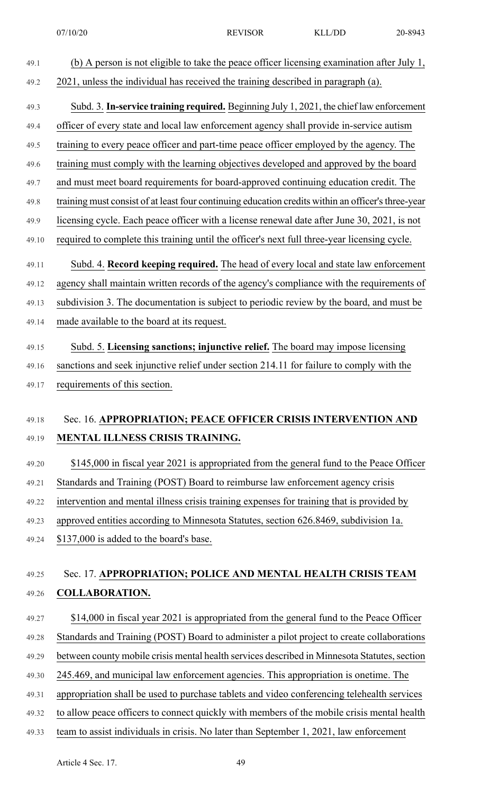- 49.1 (b) A person is not eligible to take the peace officer licensing examination after July 1, 49.2 2021, unless the individual has received the training described in paragraph (a). 49.3 Subd. 3. **In-service training required.** Beginning July 1, 2021, the chief law enforcement 49.4 officer of every state and local law enforcement agency shall provide in-service autism 49.5 training to every peace officer and part-time peace officer employed by the agency. The 49.6 training must comply with the learning objectives developed and approved by the board 49.7 and must meet board requirements for board-approved continuing education credit. The 49.8 training must consist of at least four continuing education credits within an officer's three-year 49.9 licensing cycle. Each peace officer with a license renewal date after June 30, 2021, is not 49.10 required to complete this training until the officer's next full three-year licensing cycle. 49.11 Subd. 4. **Record keeping required.** The head of every local and state law enforcement 49.12 agency shall maintain written records of the agency's compliance with the requirements of 49.13 subdivision 3. The documentation is subject to periodic review by the board, and must be 49.14 made available to the board at its request. 49.15 Subd. 5. **Licensing sanctions; injunctive relief.** The board may impose licensing 49.16 sanctions and seek injunctive relief under section 214.11 for failure to comply with the 49.17 requirements of this section. 49.18 Sec. 16. **APPROPRIATION; PEACE OFFICER CRISIS INTERVENTION AND** 49.19 **MENTAL ILLNESS CRISIS TRAINING.** 49.20 \$145,000 in fiscal year 2021 is appropriated from the general fund to the Peace Officer
- 49.21 Standards and Training (POST) Board to reimburse law enforcement agency crisis
- 49.22 intervention and mental illness crisis training expenses for training that is provided by
- 49.23 approved entities according to Minnesota Statutes, section 626.8469, subdivision 1a.
- 49.24 \$137,000 is added to the board's base.

### 49.25 Sec. 17. **APPROPRIATION; POLICE AND MENTAL HEALTH CRISIS TEAM** 49.26 **COLLABORATION.**

49.27 \$14,000 in fiscal year 2021 is appropriated from the general fund to the Peace Officer 49.28 Standards and Training (POST) Board to administer a pilot project to create collaborations 49.29 between county mobile crisis mental health services described in Minnesota Statutes, section 49.30 245.469, and municipal law enforcement agencies. This appropriation is onetime. The 49.31 appropriation shall be used to purchase tablets and video conferencing telehealth services 49.32 to allow peace officers to connect quickly with members of the mobile crisis mental health 49.33 team to assist individuals in crisis. No later than September 1, 2021, law enforcement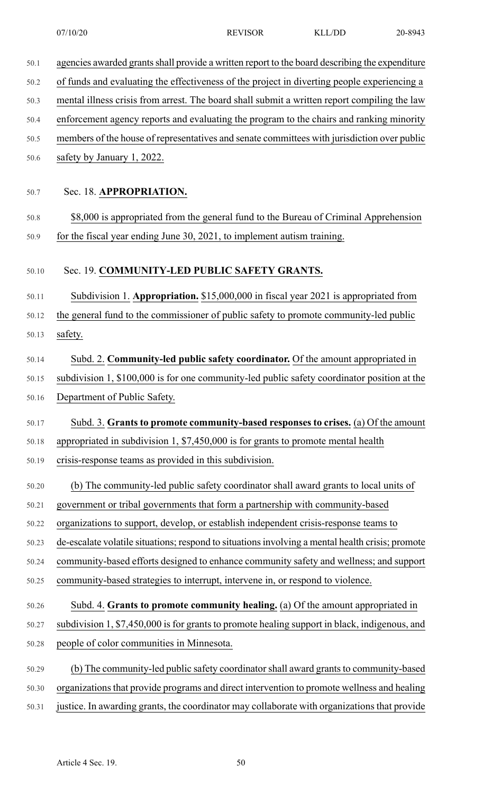| 50.1  | agencies awarded grants shall provide a written report to the board describing the expenditure   |
|-------|--------------------------------------------------------------------------------------------------|
| 50.2  | of funds and evaluating the effectiveness of the project in diverting people experiencing a      |
| 50.3  | mental illness crisis from arrest. The board shall submit a written report compiling the law     |
| 50.4  | enforcement agency reports and evaluating the program to the chairs and ranking minority         |
| 50.5  | members of the house of representatives and senate committees with jurisdiction over public      |
| 50.6  | safety by January 1, 2022.                                                                       |
|       |                                                                                                  |
| 50.7  | Sec. 18. APPROPRIATION.                                                                          |
| 50.8  | \$8,000 is appropriated from the general fund to the Bureau of Criminal Apprehension             |
| 50.9  | for the fiscal year ending June 30, 2021, to implement autism training.                          |
|       |                                                                                                  |
| 50.10 | Sec. 19. COMMUNITY-LED PUBLIC SAFETY GRANTS.                                                     |
| 50.11 | Subdivision 1. Appropriation. \$15,000,000 in fiscal year 2021 is appropriated from              |
| 50.12 | the general fund to the commissioner of public safety to promote community-led public            |
| 50.13 | safety.                                                                                          |
| 50.14 | Subd. 2. Community-led public safety coordinator. Of the amount appropriated in                  |
| 50.15 | subdivision 1, \$100,000 is for one community-led public safety coordinator position at the      |
| 50.16 | Department of Public Safety.                                                                     |
| 50.17 | Subd. 3. Grants to promote community-based responses to crises. (a) Of the amount                |
| 50.18 | appropriated in subdivision 1, \$7,450,000 is for grants to promote mental health                |
| 50.19 | crisis-response teams as provided in this subdivision.                                           |
|       |                                                                                                  |
| 50.20 | (b) The community-led public safety coordinator shall award grants to local units of             |
| 50.21 | government or tribal governments that form a partnership with community-based                    |
| 50.22 | organizations to support, develop, or establish independent crisis-response teams to             |
| 50.23 | de-escalate volatile situations; respond to situations involving a mental health crisis; promote |
| 50.24 | community-based efforts designed to enhance community safety and wellness; and support           |
| 50.25 | community-based strategies to interrupt, intervene in, or respond to violence.                   |
| 50.26 | Subd. 4. Grants to promote community healing. (a) Of the amount appropriated in                  |
| 50.27 | subdivision 1, \$7,450,000 is for grants to promote healing support in black, indigenous, and    |
| 50.28 | people of color communities in Minnesota.                                                        |
| 50.29 | (b) The community-led public safety coordinator shall award grants to community-based            |
| 50.30 | organizations that provide programs and direct intervention to promote wellness and healing      |
| 50.31 | justice. In awarding grants, the coordinator may collaborate with organizations that provide     |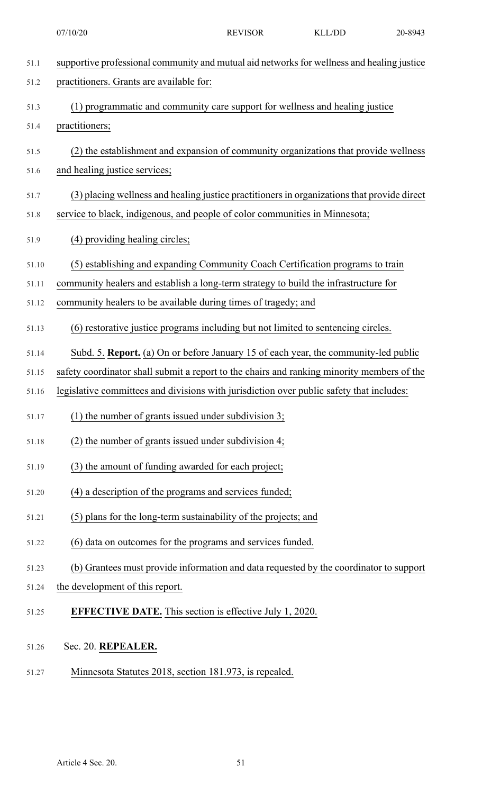| 51.1  | supportive professional community and mutual aid networks for wellness and healing justice  |
|-------|---------------------------------------------------------------------------------------------|
| 51.2  | practitioners. Grants are available for:                                                    |
| 51.3  | (1) programmatic and community care support for wellness and healing justice                |
| 51.4  | practitioners;                                                                              |
| 51.5  | (2) the establishment and expansion of community organizations that provide wellness        |
| 51.6  | and healing justice services;                                                               |
| 51.7  | (3) placing wellness and healing justice practitioners in organizations that provide direct |
| 51.8  | service to black, indigenous, and people of color communities in Minnesota;                 |
| 51.9  | (4) providing healing circles;                                                              |
| 51.10 | (5) establishing and expanding Community Coach Certification programs to train              |
| 51.11 | community healers and establish a long-term strategy to build the infrastructure for        |
| 51.12 | community healers to be available during times of tragedy; and                              |
| 51.13 | (6) restorative justice programs including but not limited to sentencing circles.           |
| 51.14 | Subd. 5. Report. (a) On or before January 15 of each year, the community-led public         |
| 51.15 | safety coordinator shall submit a report to the chairs and ranking minority members of the  |
| 51.16 | legislative committees and divisions with jurisdiction over public safety that includes:    |
| 51.17 | $(1)$ the number of grants issued under subdivision 3;                                      |
| 51.18 | $(2)$ the number of grants issued under subdivision 4;                                      |
| 51.19 | (3) the amount of funding awarded for each project;                                         |
| 51.20 | (4) a description of the programs and services funded;                                      |
| 51.21 | (5) plans for the long-term sustainability of the projects; and                             |
| 51.22 | (6) data on outcomes for the programs and services funded.                                  |
| 51.23 | (b) Grantees must provide information and data requested by the coordinator to support      |
| 51.24 | the development of this report.                                                             |
| 51.25 | <b>EFFECTIVE DATE.</b> This section is effective July 1, 2020.                              |
| 51.26 | Sec. 20. REPEALER.                                                                          |
|       |                                                                                             |

51.27 Minnesota Statutes 2018, section 181.973, is repealed.